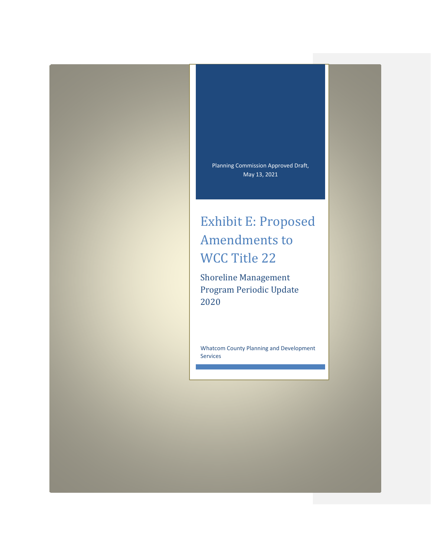# Exhibit E: Proposed Amendments to WCC Title 22

Shoreline Management Program Periodic Update 2020

Whatcom County Planning and Development Services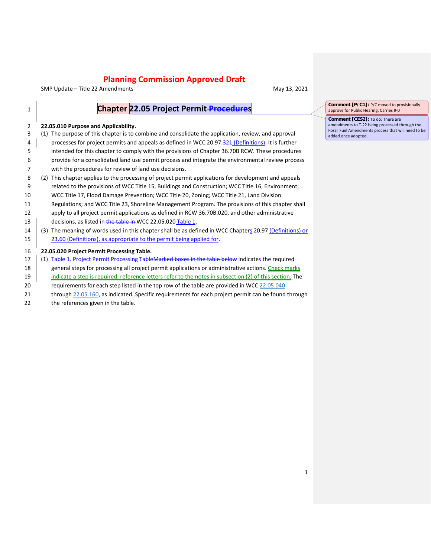SMP Update – Title 22 Amendments May 13, 2021

| 1  | <b>Chapter 22.05 Project Permit-Procedures</b>                                                           | $\mathbf{C}$<br>ap |
|----|----------------------------------------------------------------------------------------------------------|--------------------|
|    |                                                                                                          | $\mathbf{C}$<br>ar |
| 2  | 22.05.010 Purpose and Applicability.                                                                     | Fo                 |
| 3  | (1) The purpose of this chapter is to combine and consolidate the application, review, and approval      | a                  |
| 4  | processes for project permits and appeals as defined in WCC 20.97.321 (Definitions). It is further       |                    |
| 5  | intended for this chapter to comply with the provisions of Chapter 36.70B RCW. These procedures          |                    |
| 6  | provide for a consolidated land use permit process and integrate the environmental review process        |                    |
| 7  | with the procedures for review of land use decisions.                                                    |                    |
| 8  | This chapter applies to the processing of project permit applications for development and appeals<br>(2) |                    |
| 9  | related to the provisions of WCC Title 15, Buildings and Construction; WCC Title 16, Environment;        |                    |
| 10 | WCC Title 17, Flood Damage Prevention; WCC Title 20, Zoning; WCC Title 21, Land Division                 |                    |
| 11 | Regulations; and WCC Title 23, Shoreline Management Program. The provisions of this chapter shall        |                    |
| 12 | apply to all project permit applications as defined in RCW 36.70B.020, and other administrative          |                    |
| 13 | decisions, as listed in the table in WCC 22.05.020 Table 1.                                              |                    |
| 14 | (3) The meaning of words used in this chapter shall be as defined in WCC Chapters 20.97 (Definitions) or |                    |
| 15 | 23.60 (Definitions), as appropriate to the permit being applied for.                                     |                    |
| 16 | 22.05.020 Project Permit Processing Table.                                                               |                    |
| 17 | (1) Table 1. Project Permit Processing Table Marked boxes in the table below indicates the required      |                    |
| 18 | general steps for processing all project permit applications or administrative actions. Check marks      |                    |
| 19 | indicate a step is required; reference letters refer to the notes in subsection (2) of this section. The |                    |
| 20 | requirements for each step listed in the top row of the table are provided in WCC 22.05.040              |                    |
| 21 | through 22.05.160, as indicated. Specific requirements for each project permit can be found through      |                    |
| 22 | the references given in the table.                                                                       |                    |
|    |                                                                                                          |                    |

**Comment [P/C1]:** P/C moved to provisionally approve for Public Hearing. Carries 9-0

**COMMENT [CES2]:** To do: There are amendments to T-22 being processed through the Fossil Fuel Amendments process that will need to be added once adopted.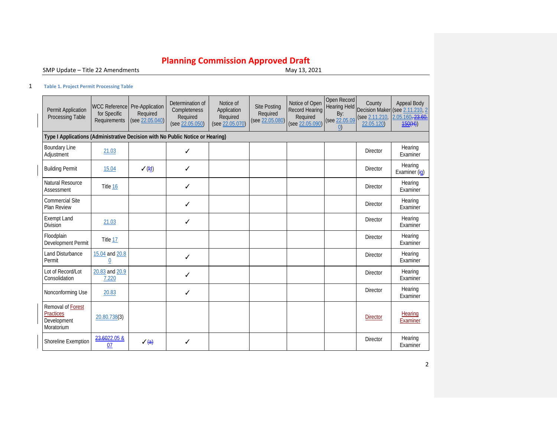SMP Update - Title 22 Amendments

#### 1 **Table 1. Project Permit Processing Table**

<span id="page-2-0"></span>

| Permit Application<br>Processing Table                                         | WCC Reference Pre-Application<br>for Specific<br><b>Requirements</b> | Required<br>(see 22.05.040) | Determination of<br>Completeness<br>Required<br>(see 22.05.050) | Notice of<br>Application<br>Required<br>(see 22.05.070) | <b>Site Posting</b><br>Required<br>(see 22.05.080) | Notice of Open<br><b>Record Hearing</b><br>Required<br>(see 22.05.090) | Open Record<br>Hearing Held<br>By:<br>(see 22.05.09<br>$\left( 0\right)$ | County<br>(see 2.11.210,<br>22.05.120) | Appeal Body<br>Decision Maker (see 2.11.210, 2<br>2.05.160, 23.60.<br>$\frac{150(H)}{H}$ |
|--------------------------------------------------------------------------------|----------------------------------------------------------------------|-----------------------------|-----------------------------------------------------------------|---------------------------------------------------------|----------------------------------------------------|------------------------------------------------------------------------|--------------------------------------------------------------------------|----------------------------------------|------------------------------------------------------------------------------------------|
| Type I Applications (Administrative Decision with No Public Notice or Hearing) |                                                                      |                             |                                                                 |                                                         |                                                    |                                                                        |                                                                          |                                        |                                                                                          |
| <b>Boundary Line</b><br>Adjustment                                             | 21.03                                                                |                             | ✓                                                               |                                                         |                                                    |                                                                        |                                                                          | <b>Director</b>                        | Hearing<br>Examiner                                                                      |
| <b>Building Permit</b>                                                         | 15.04                                                                | $\sqrt{f(d)}$               | ✓                                                               |                                                         |                                                    |                                                                        |                                                                          | Director                               | Hearing<br>Examiner (ig)                                                                 |
| Natural Resource<br>Assessment                                                 | Title 16                                                             |                             | ✓                                                               |                                                         |                                                    |                                                                        |                                                                          | Director                               | Hearing<br>Examiner                                                                      |
| <b>Commercial Site</b><br>Plan Review                                          |                                                                      |                             | ✓                                                               |                                                         |                                                    |                                                                        |                                                                          | <b>Director</b>                        | Hearing<br>Examiner                                                                      |
| <b>Exempt Land</b><br><b>Division</b>                                          | 21.03                                                                |                             | ✓                                                               |                                                         |                                                    |                                                                        |                                                                          | <b>Director</b>                        | Hearing<br>Examiner                                                                      |
| Floodplain<br>Development Permit                                               | Title 17                                                             |                             |                                                                 |                                                         |                                                    |                                                                        |                                                                          | <b>Director</b>                        | Hearing<br>Examiner                                                                      |
| Land Disturbance<br>Permit                                                     | 15.04 and 20.8<br>0                                                  |                             | $\checkmark$                                                    |                                                         |                                                    |                                                                        |                                                                          | <b>Director</b>                        | Hearing<br>Examiner                                                                      |
| Lot of Record/Lot<br>Consolidation                                             | 20.83 and 20.9<br>7.220                                              |                             | ✓                                                               |                                                         |                                                    |                                                                        |                                                                          | Director                               | Hearing<br>Examiner                                                                      |
| Nonconforming Use                                                              | 20.83                                                                |                             | ✓                                                               |                                                         |                                                    |                                                                        |                                                                          | <b>Director</b>                        | Hearing<br>Examiner                                                                      |
| Removal of <b>Forest</b><br><b>Practices</b><br>Development<br>Moratorium      | 20.80.738(3)                                                         |                             |                                                                 |                                                         |                                                    |                                                                        |                                                                          | <b>Director</b>                        | Hearing<br>Examiner                                                                      |
| Shoreline Exemption                                                            | 23.6022.05 &<br>07                                                   | $\sqrt{a}$                  | ✓                                                               |                                                         |                                                    |                                                                        |                                                                          | <b>Director</b>                        | Hearing<br>Examiner                                                                      |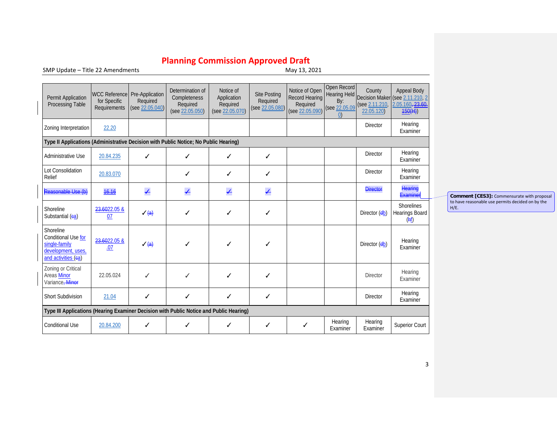SMP Update - Title 22 Amendments

| Permit Application<br>Processing Table                                                         | WCC Reference Pre-Application<br>for Specific<br>Requirements | Required<br>(see 22.05.040) | Determination of<br>Completeness<br>Required<br>(see 22.05.050) | Notice of<br>Application<br>Required<br>(see 22.05.070) | <b>Site Posting</b><br>Required<br>(see 22.05.080) | Notice of Open<br><b>Record Hearing</b><br>Required<br>(see 22.05.090) | Open Record<br>By:<br>$\left( 0\right)$ | County<br>(see 22.05.09 (see 2.11.210)<br>22.05.120) | <b>Appeal Body</b><br>Hearing Held Decision Maker (see 2.11.210, 2<br>2.05.160, 23.60.<br>$\frac{150(H)}{H}$ |                        |
|------------------------------------------------------------------------------------------------|---------------------------------------------------------------|-----------------------------|-----------------------------------------------------------------|---------------------------------------------------------|----------------------------------------------------|------------------------------------------------------------------------|-----------------------------------------|------------------------------------------------------|--------------------------------------------------------------------------------------------------------------|------------------------|
| Zoning Interpretation                                                                          | 22.20                                                         |                             |                                                                 |                                                         |                                                    |                                                                        |                                         | Director                                             | Hearing<br>Examiner                                                                                          |                        |
| Type II Applications (Administrative Decision with Public Notice; No Public Hearing)           |                                                               |                             |                                                                 |                                                         |                                                    |                                                                        |                                         |                                                      |                                                                                                              |                        |
| Administrative Use                                                                             | 20.84.235                                                     | ✓                           | ✓                                                               | ✓                                                       | ✓                                                  |                                                                        |                                         | Director                                             | Hearing<br>Examiner                                                                                          |                        |
| Lot Consolidation<br>Relief                                                                    | 20.83.070                                                     |                             | ✓                                                               | ✓                                                       | ✓                                                  |                                                                        |                                         | Director                                             | Hearing<br>Examiner                                                                                          |                        |
| Reasonable Use (b)                                                                             | 16.16                                                         | $\overline{\phantom{a}}$    | $\overline{\phantom{a}}$                                        | $\overline{\mathcal{L}}$                                | $\overline{\phantom{a}}$                           |                                                                        |                                         | <b>Director</b>                                      | Hearing<br>Examiner                                                                                          | Comment [              |
| Shoreline<br>Substantial (ea)                                                                  | 23.6022.05 &<br>07                                            | $\sqrt{a}$                  | ✓                                                               | ✓                                                       | ✓                                                  |                                                                        |                                         | Director (db)                                        | <b>Shorelines</b><br>Hearings Board<br>(h)                                                                   | to have reasor<br>H/E. |
| Shoreline<br>Conditional Use for<br>single-family<br>development, uses,<br>and activities (ea) | 23.6022.05 &<br>.07                                           | $\sqrt{a}$                  | ✓                                                               | ✓                                                       | ✓                                                  |                                                                        |                                         | Director (eb)                                        | Hearing<br>Examiner                                                                                          |                        |
| Zoning or Critical<br><b>Areas Minor</b><br>Variance, Minor                                    | 22.05.024                                                     | ✓                           | ✓                                                               | ✓                                                       | ✓                                                  |                                                                        |                                         | <b>Director</b>                                      | Hearing<br>Examiner                                                                                          |                        |
| <b>Short Subdivision</b>                                                                       | 21.04                                                         | ✓                           | ✓                                                               | ✓                                                       | ✓                                                  |                                                                        |                                         | <b>Director</b>                                      | Hearing<br>Examiner                                                                                          |                        |
| Type III Applications (Hearing Examiner Decision with Public Notice and Public Hearing)        |                                                               |                             |                                                                 |                                                         |                                                    |                                                                        |                                         |                                                      |                                                                                                              |                        |
| <b>Conditional Use</b>                                                                         | 20.84.200                                                     | ✓                           | ✓                                                               | ✓                                                       | ✓                                                  | ✓                                                                      | Hearing<br>Examiner                     | Hearing<br>Examiner                                  | <b>Superior Court</b>                                                                                        |                        |

**Comment [CES3]:** Commensurate with proposal to have reasonable use permits decided on by the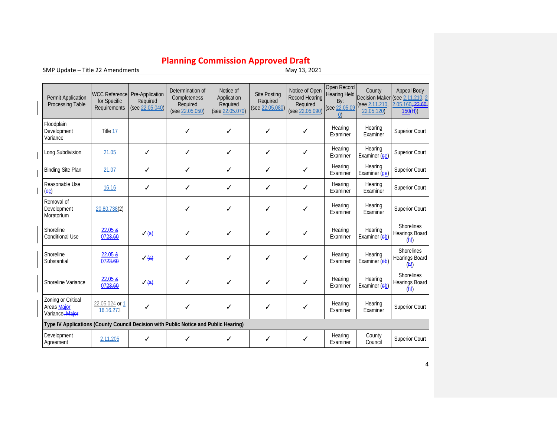SMP Update - Title 22 Amendments

| Permit Application<br>Processing Table                                               | WCC Reference Pre-Application<br>for Specific<br>Requirements | Required<br>(see 22.05.040) | Determination of<br>Completeness<br>Required<br>(see 22.05.050) | Notice of<br>Application<br>Required<br>(see 22.05.070) | <b>Site Posting</b><br>Required<br>(see 22.05.080) | Notice of Open<br><b>Record Hearing</b><br>Required<br>(see 22.05.090) | Open Record<br>By:<br>(see 22.05.09)<br>$\left( 0\right)$ | County<br>(see 2.11.210)<br>22.05.120) | <b>Appeal Body</b><br>Hearing Held Decision Maker (see 2.11.210, 2<br>2.05.160, 23.60.<br>$\frac{150(H)}{150(H)}$ |
|--------------------------------------------------------------------------------------|---------------------------------------------------------------|-----------------------------|-----------------------------------------------------------------|---------------------------------------------------------|----------------------------------------------------|------------------------------------------------------------------------|-----------------------------------------------------------|----------------------------------------|-------------------------------------------------------------------------------------------------------------------|
| Floodplain<br>Development<br>Variance                                                | Title 17                                                      |                             |                                                                 | ✓                                                       | ✓                                                  | ✓                                                                      | Hearing<br>Examiner                                       | Hearing<br>Examiner                    | <b>Superior Court</b>                                                                                             |
| Long Subdivision                                                                     | 21.05                                                         | ✓                           | ✓                                                               | ✓                                                       | ✓                                                  | ✓                                                                      | Hearing<br>Examiner                                       | Hearing<br>Examiner (ee)               | Superior Court                                                                                                    |
| <b>Binding Site Plan</b>                                                             | 21.07                                                         | ✓                           | ✓                                                               | ✓                                                       | ✓                                                  | ✓                                                                      | Hearing<br>Examiner                                       | Hearing<br>Examiner (ee)               | Superior Court                                                                                                    |
| Reasonable Use<br>(e <sub>C</sub> )                                                  | 16.16                                                         | $\checkmark$                | ✓                                                               | ✓                                                       | ✓                                                  | ✓                                                                      | Hearing<br>Examiner                                       | Hearing<br>Examiner                    | <b>Superior Court</b>                                                                                             |
| Removal of<br>Development<br>Moratorium                                              | 20.80.738(2)                                                  |                             |                                                                 | ✓                                                       | ✓                                                  | ✓                                                                      | Hearing<br>Examiner                                       | Hearing<br>Examiner                    | Superior Court                                                                                                    |
| Shoreline<br><b>Conditional Use</b>                                                  | 22.05 &<br>0723.60                                            | $\sqrt{a}$                  | ✓                                                               | ✓                                                       | ✓                                                  | ✓                                                                      | Hearing<br>Examiner                                       | Hearing<br>Examiner (db)               | Shorelines<br><b>Hearings Board</b><br>(hf)                                                                       |
| Shoreline<br>Substantial                                                             | 22.05 &<br>0723.60                                            | $\sqrt{a}$                  | ✓                                                               | ✓                                                       | ✓                                                  | ✓                                                                      | Hearing<br>Examiner                                       | Hearing<br>Examiner (db)               | Shorelines<br>Hearings Board<br>(hf)                                                                              |
| Shoreline Variance                                                                   | 22.05 &<br>07 <del>23.60</del>                                | $\sqrt{a}$                  | ✓                                                               | ✓                                                       | ✓                                                  | ✓                                                                      | Hearing<br>Examiner                                       | Hearing<br>Examiner (db)               | <b>Shorelines</b><br>Hearings Board<br>(hf)                                                                       |
| Zoning or Critical<br><b>Areas Maior</b><br>Variance, Major                          | 22.05.024 or 1<br>16.16.273                                   | ✓                           | ✓                                                               | ✓                                                       | ✓                                                  | ✓                                                                      | Hearing<br>Examiner                                       | Hearing<br>Examiner                    | <b>Superior Court</b>                                                                                             |
| Type IV Applications (County Council Decision with Public Notice and Public Hearing) |                                                               |                             |                                                                 |                                                         |                                                    |                                                                        |                                                           |                                        |                                                                                                                   |
| Development<br>Agreement                                                             | 2.11.205                                                      | ✓                           | ✓                                                               | ✓                                                       | ✓                                                  | ✓                                                                      | Hearing<br>Examiner                                       | County<br>Council                      | <b>Superior Court</b>                                                                                             |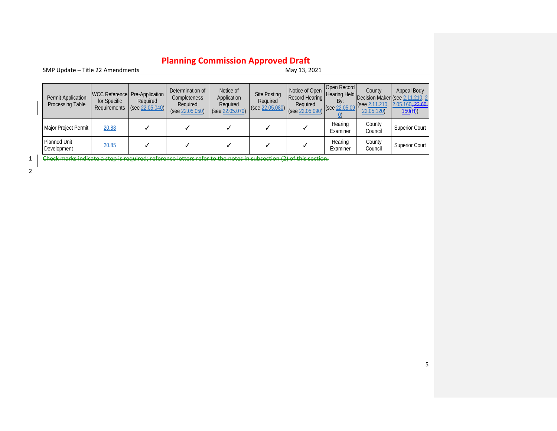SMP Update - Title 22 Amendments

| Permit Application<br>Processing Table | WCC Reference Pre-Application<br>for Specific<br>Requirements | Required<br>(see 22.05.040) | Determination of<br>Completeness<br>Required<br>(see 22.05.050) | Notice of<br>Application<br>Required<br>(see 22.05.070) | Site Posting<br>Required<br>(see 22.05.080) | Notice of Open<br>Record Hearing<br>Required<br>(see 22.05.090) | Open Record<br>By:<br>(see 22.05.09) | County<br>$\left  \right $ (see 2.11.210,<br>22.05.120) | Appeal Body<br>Thearing Held Decision Maker (see 2.11.210, 2<br>2.05.160.23.60.<br>$\frac{150(H)}{H}$ |
|----------------------------------------|---------------------------------------------------------------|-----------------------------|-----------------------------------------------------------------|---------------------------------------------------------|---------------------------------------------|-----------------------------------------------------------------|--------------------------------------|---------------------------------------------------------|-------------------------------------------------------------------------------------------------------|
| Major Project Permit                   | 20.88                                                         |                             |                                                                 |                                                         |                                             |                                                                 | Hearing<br>Examiner                  | County<br>Council                                       | <b>Superior Court</b>                                                                                 |
| Planned Unit<br>Development            | 20.85                                                         |                             |                                                                 |                                                         |                                             |                                                                 | Hearing<br>Examiner                  | County<br>Council                                       | <b>Superior Court</b>                                                                                 |

1 <del>Check marks indicate a step is required; reference letters refer to the notes in subsection (2) of this section.</del>

2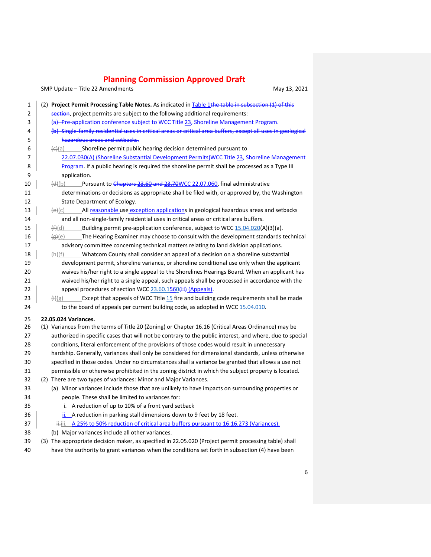| 1              | (2) Project Permit Processing Table Notes. As indicated in Table 1the table in subsection (1) of this               |
|----------------|---------------------------------------------------------------------------------------------------------------------|
| $\overline{2}$ | section, project permits are subject to the following additional requirements:                                      |
| 3              | (a) Pre-application conference subject to WCC Title 23, Shoreline Management Program.                               |
| 4              | (b) Single family residential uses in critical areas or critical area buffers, except all uses in geological        |
| 5              | hazardous areas and setbacks.                                                                                       |
| 6              | Shoreline permit public hearing decision determined pursuant to<br>$\left(\epsilon\right)$ (a)                      |
| 7              | 22.07.030(A) (Shoreline Substantial Development Permits)WCC Title 23, Shoreline Management                          |
| 8              | Program. If a public hearing is required the shoreline permit shall be processed as a Type III                      |
| 9              | application.                                                                                                        |
| 10             | Pursuant to Chapters 23.60 and 23.70WCC 22.07.060, final administrative<br>$\left(\frac{d}{dx}\right)$              |
| 11             | determinations or decisions as appropriate shall be filed with, or approved by, the Washington                      |
| 12             | State Department of Ecology.                                                                                        |
| 13             | All reasonable use exception applications in geological hazardous areas and setbacks<br><del>(e)</del> (c)          |
| 14             | and all non-single-family residential uses in critical areas or critical area buffers.                              |
| 15             | (f)(d)<br>Building permit pre-application conference, subject to WCC 15.04.020(A)(3)(a).                            |
| 16             | The Hearing Examiner may choose to consult with the development standards technical<br>$\leftrightarrow$ (e)        |
| 17             | advisory committee concerning technical matters relating to land division applications.                             |
| 18             | Whatcom County shall consider an appeal of a decision on a shoreline substantial<br>$(A)$ $(f)$                     |
| 19             | development permit, shoreline variance, or shoreline conditional use only when the applicant                        |
| 20             | waives his/her right to a single appeal to the Shorelines Hearings Board. When an applicant has                     |
| 21             | waived his/her right to a single appeal, such appeals shall be processed in accordance with the                     |
| 22             | appeal procedures of section WCC 23.60.1560(H) (Appeals).                                                           |
| 23             | Except that appeals of WCC Title 15 fire and building code requirements shall be made<br>$\left(\frac{1}{2}\right)$ |
| 24             | to the board of appeals per current building code, as adopted in WCC 15.04.010.                                     |
| 25             | 22.05.024 Variances.                                                                                                |
| 26             | (1) Variances from the terms of Title 20 (Zoning) or Chapter 16.16 (Critical Areas Ordinance) may be                |
| 27             | authorized in specific cases that will not be contrary to the public interest, and where, due to special            |
| 28             | conditions, literal enforcement of the provisions of those codes would result in unnecessary                        |
| 29             | hardship. Generally, variances shall only be considered for dimensional standards, unless otherwise                 |
| 30             | specified in those codes. Under no circumstances shall a variance be granted that allows a use not                  |
| 31             | permissible or otherwise prohibited in the zoning district in which the subject property is located.                |
| 32             | (2) There are two types of variances: Minor and Major Variances.                                                    |
| 33             | (a) Minor variances include those that are unlikely to have impacts on surrounding properties or                    |
| 34             | people. These shall be limited to variances for:                                                                    |
| 35             | i. A reduction of up to 10% of a front yard setback                                                                 |
| 36             | ii. A reduction in parking stall dimensions down to 9 feet by 18 feet.                                              |
| 37             | ii-iii. A 25% to 50% reduction of critical area buffers pursuant to 16.16.273 (Variances).                          |
| 38             | (b) Major variances include all other variances.                                                                    |
| 39             | (3) The appropriate decision maker, as specified in 22.05.020 (Project permit processing table) shall               |
| 40             | have the authority to grant variances when the conditions set forth in subsection (4) have been                     |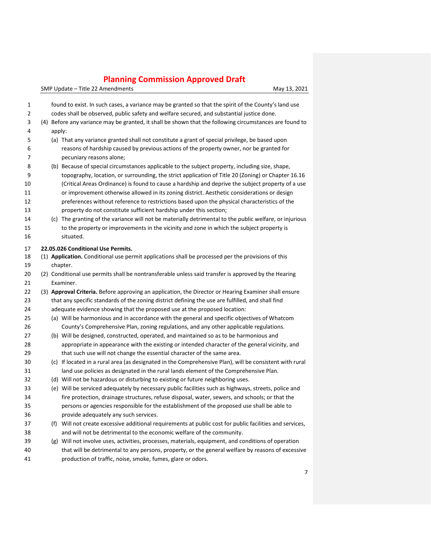| 1              | found to exist. In such cases, a variance may be granted so that the spirit of the County's land use     |  |
|----------------|----------------------------------------------------------------------------------------------------------|--|
| $\overline{2}$ | codes shall be observed, public safety and welfare secured, and substantial justice done.                |  |
| 3              | (4) Before any variance may be granted, it shall be shown that the following circumstances are found to  |  |
| 4              | apply:                                                                                                   |  |
| 5              | (a) That any variance granted shall not constitute a grant of special privilege, be based upon           |  |
| 6              | reasons of hardship caused by previous actions of the property owner, nor be granted for                 |  |
| 7              | pecuniary reasons alone;                                                                                 |  |
| 8              | (b) Because of special circumstances applicable to the subject property, including size, shape,          |  |
| 9              | topography, location, or surrounding, the strict application of Title 20 (Zoning) or Chapter 16.16       |  |
| 10             | (Critical Areas Ordinance) is found to cause a hardship and deprive the subject property of a use        |  |
| 11             | or improvement otherwise allowed in its zoning district. Aesthetic considerations or design              |  |
| 12             | preferences without reference to restrictions based upon the physical characteristics of the             |  |
| 13             | property do not constitute sufficient hardship under this section;                                       |  |
| 14             | (c) The granting of the variance will not be materially detrimental to the public welfare, or injurious  |  |
| 15             | to the property or improvements in the vicinity and zone in which the subject property is                |  |
| 16             | situated.                                                                                                |  |
|                |                                                                                                          |  |
| 17             | 22.05.026 Conditional Use Permits.                                                                       |  |
| 18             | (1) Application. Conditional use permit applications shall be processed per the provisions of this       |  |
| 19             | chapter.                                                                                                 |  |
| 20             | (2) Conditional use permits shall be nontransferable unless said transfer is approved by the Hearing     |  |
| 21             | Examiner.                                                                                                |  |
| 22             | (3) Approval Criteria. Before approving an application, the Director or Hearing Examiner shall ensure    |  |
| 23             | that any specific standards of the zoning district defining the use are fulfilled, and shall find        |  |
| 24             | adequate evidence showing that the proposed use at the proposed location:                                |  |
| 25             | (a) Will be harmonious and in accordance with the general and specific objectives of Whatcom             |  |
| 26             | County's Comprehensive Plan, zoning regulations, and any other applicable regulations.                   |  |
| 27             | (b) Will be designed, constructed, operated, and maintained so as to be harmonious and                   |  |
| 28             | appropriate in appearance with the existing or intended character of the general vicinity, and           |  |
| 29             | that such use will not change the essential character of the same area.                                  |  |
| 30             | (c) If located in a rural area (as designated in the Comprehensive Plan), will be consistent with rural  |  |
| 31             | land use policies as designated in the rural lands element of the Comprehensive Plan.                    |  |
| 32             | (d) Will not be hazardous or disturbing to existing or future neighboring uses.                          |  |
| 33             | (e) Will be serviced adequately by necessary public facilities such as highways, streets, police and     |  |
| 34             | fire protection, drainage structures, refuse disposal, water, sewers, and schools; or that the           |  |
| 35             | persons or agencies responsible for the establishment of the proposed use shall be able to               |  |
| 36             | provide adequately any such services.                                                                    |  |
| 37             | (f) Will not create excessive additional requirements at public cost for public facilities and services, |  |
| 38             | and will not be detrimental to the economic welfare of the community.                                    |  |
| 39             | (g) Will not involve uses, activities, processes, materials, equipment, and conditions of operation      |  |
| 40             | that will be detrimental to any persons, property, or the general welfare by reasons of excessive        |  |
| 41             | production of traffic, noise, smoke, fumes, glare or odors.                                              |  |
|                |                                                                                                          |  |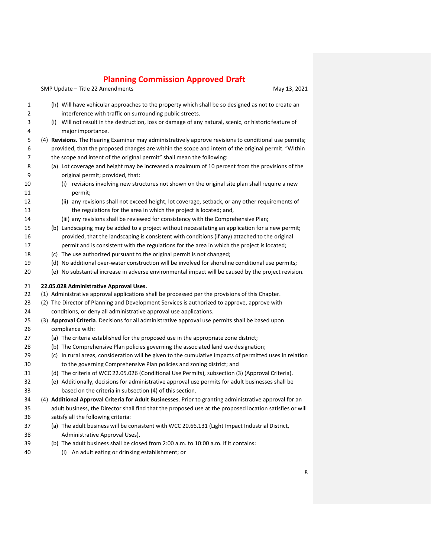| $\mathbf{1}$   | (h) Will have vehicular approaches to the property which shall be so designed as not to create an        |
|----------------|----------------------------------------------------------------------------------------------------------|
| $\overline{2}$ | interference with traffic on surrounding public streets.                                                 |
| 3              | (i) Will not result in the destruction, loss or damage of any natural, scenic, or historic feature of    |
| 4              | major importance.                                                                                        |
| 5              | (4) Revisions. The Hearing Examiner may administratively approve revisions to conditional use permits;   |
| 6              | provided, that the proposed changes are within the scope and intent of the original permit. "Within      |
| 7              | the scope and intent of the original permit" shall mean the following:                                   |
| 8              | (a) Lot coverage and height may be increased a maximum of 10 percent from the provisions of the          |
| 9              | original permit; provided, that:                                                                         |
| 10             | (i) revisions involving new structures not shown on the original site plan shall require a new           |
| 11             | permit;                                                                                                  |
| 12             | (ii) any revisions shall not exceed height, lot coverage, setback, or any other requirements of          |
| 13             | the regulations for the area in which the project is located; and,                                       |
| 14             | (iii) any revisions shall be reviewed for consistency with the Comprehensive Plan;                       |
| 15             | (b) Landscaping may be added to a project without necessitating an application for a new permit;         |
| 16             | provided, that the landscaping is consistent with conditions (if any) attached to the original           |
| 17             | permit and is consistent with the regulations for the area in which the project is located;              |
| 18             | (c) The use authorized pursuant to the original permit is not changed;                                   |
| 19             | (d) No additional over-water construction will be involved for shoreline conditional use permits;        |
| 20             | (e) No substantial increase in adverse environmental impact will be caused by the project revision.      |
|                |                                                                                                          |
| 21             | 22.05.028 Administrative Approval Uses.                                                                  |
| 22             | (1) Administrative approval applications shall be processed per the provisions of this Chapter.          |
| 23             | (2) The Director of Planning and Development Services is authorized to approve, approve with             |
| 24             | conditions, or deny all administrative approval use applications.                                        |
| 25             | (3) Approval Criteria. Decisions for all administrative approval use permits shall be based upon         |
| 26             | compliance with:                                                                                         |
| 27             | (a) The criteria established for the proposed use in the appropriate zone district;                      |
| 28             | (b) The Comprehensive Plan policies governing the associated land use designation;                       |
| 29             | (c) In rural areas, consideration will be given to the cumulative impacts of permitted uses in relation  |
| 30             | to the governing Comprehensive Plan policies and zoning district; and                                    |
| 31             | (d) The criteria of WCC 22.05.026 (Conditional Use Permits), subsection (3) (Approval Criteria).         |
| 32             | (e) Additionally, decisions for administrative approval use permits for adult businesses shall be        |
| 33             | based on the criteria in subsection (4) of this section.                                                 |
| 34             | (4) Additional Approval Criteria for Adult Businesses. Prior to granting administrative approval for an  |
| 35             | adult business, the Director shall find that the proposed use at the proposed location satisfies or will |
| 36             | satisfy all the following criteria:                                                                      |
| 37             | (a) The adult business will be consistent with WCC 20.66.131 (Light Impact Industrial District,          |
| 38             | Administrative Approval Uses).                                                                           |
| 39             | (b) The adult business shall be closed from 2:00 a.m. to 10:00 a.m. if it contains:                      |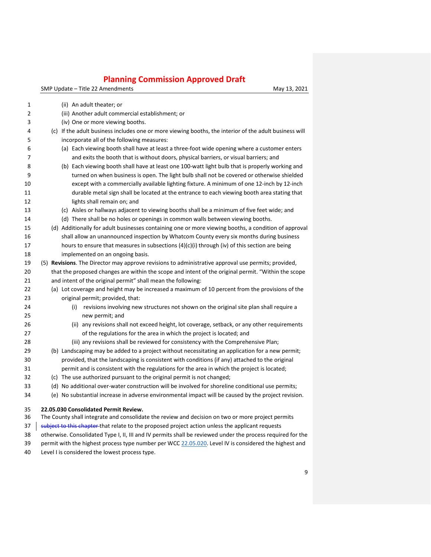SMP Update – Title 22 Amendments May 13, 2021

| 1              |  | (ii) An adult theater; or                                                                                   |
|----------------|--|-------------------------------------------------------------------------------------------------------------|
| $\overline{2}$ |  | (iii) Another adult commercial establishment; or                                                            |
| 3              |  | (iv) One or more viewing booths.                                                                            |
| 4              |  | (c) If the adult business includes one or more viewing booths, the interior of the adult business will      |
| 5              |  | incorporate all of the following measures:                                                                  |
| 6              |  | (a) Each viewing booth shall have at least a three-foot wide opening where a customer enters                |
| 7              |  | and exits the booth that is without doors, physical barriers, or visual barriers; and                       |
| 8              |  | (b) Each viewing booth shall have at least one 100-watt light bulb that is properly working and             |
| 9              |  | turned on when business is open. The light bulb shall not be covered or otherwise shielded                  |
| 10             |  | except with a commercially available lighting fixture. A minimum of one 12-inch by 12-inch                  |
| 11             |  | durable metal sign shall be located at the entrance to each viewing booth area stating that                 |
| 12             |  | lights shall remain on; and                                                                                 |
| 13             |  | (c) Aisles or hallways adjacent to viewing booths shall be a minimum of five feet wide; and                 |
| 14             |  | (d) There shall be no holes or openings in common walls between viewing booths.                             |
| 15             |  | (d) Additionally for adult businesses containing one or more viewing booths, a condition of approval        |
| 16             |  | shall allow an unannounced inspection by Whatcom County every six months during business                    |
| 17             |  | hours to ensure that measures in subsections $(4)(c)(i)$ through (iv) of this section are being             |
| 18             |  | implemented on an ongoing basis.                                                                            |
| 19             |  | (5) Revisions. The Director may approve revisions to administrative approval use permits; provided,         |
| 20             |  | that the proposed changes are within the scope and intent of the original permit. "Within the scope         |
| 21             |  | and intent of the original permit" shall mean the following:                                                |
| 22             |  | (a) Lot coverage and height may be increased a maximum of 10 percent from the provisions of the             |
| 23             |  | original permit; provided, that:                                                                            |
| 24             |  | (i) revisions involving new structures not shown on the original site plan shall require a                  |
| 25             |  | new permit; and                                                                                             |
| 26             |  | (ii) any revisions shall not exceed height, lot coverage, setback, or any other requirements                |
| 27             |  | of the regulations for the area in which the project is located; and                                        |
| 28             |  | (iii) any revisions shall be reviewed for consistency with the Comprehensive Plan;                          |
| 29             |  | (b) Landscaping may be added to a project without necessitating an application for a new permit;            |
| 30             |  | provided, that the landscaping is consistent with conditions (if any) attached to the original              |
| 31             |  | permit and is consistent with the regulations for the area in which the project is located;                 |
| 32             |  | (c) The use authorized pursuant to the original permit is not changed;                                      |
| 33             |  | (d) No additional over-water construction will be involved for shoreline conditional use permits;           |
| 34             |  | (e) No substantial increase in adverse environmental impact will be caused by the project revision.         |
| 35             |  | 22.05.030 Consolidated Permit Review.                                                                       |
| 36             |  | The County shall integrate and consolidate the review and decision on two or more project permits           |
| 37             |  | subject to this chapter that relate to the proposed project action unless the applicant requests            |
| 38             |  | otherwise. Consolidated Type I, II, III and IV permits shall be reviewed under the process required for the |
| 39             |  | permit with the highest process type number per WCC 22.05.020. Level IV is considered the highest and       |

Level I is considered the lowest process type.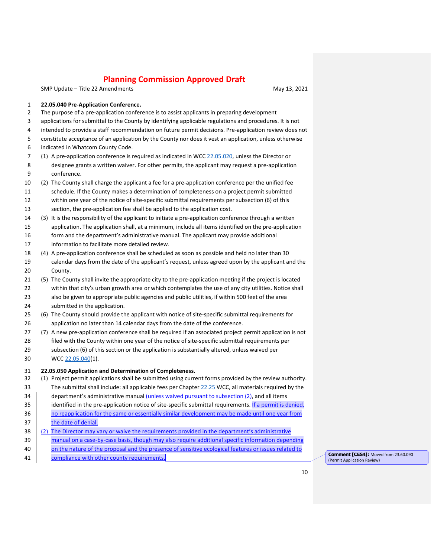SMP Update – Title 22 Amendments May 13, 2021

#### **22.05.040 Pre-Application Conference.**

- The purpose of a pre-application conference is to assist applicants in preparing development
- applications for submittal to the County by identifying applicable regulations and procedures. It is not
- intended to provide a staff recommendation on future permit decisions. Pre-application review does not
- constitute acceptance of an application by the County nor does it vest an application, unless otherwise
- indicated in Whatcom County Code.
- (1) A pre-application conference is required as indicated in WCC [22.05.020,](https://www.codepublishing.com/WA/WhatcomCounty/#!/WhatcomCounty22/WhatcomCounty2205.html#22.05.020) unless the Director or designee grants a written waiver. For other permits, the applicant may request a pre-application conference.
- (2) The County shall charge the applicant a fee for a pre-application conference per the unified fee
- schedule. If the County makes a determination of completeness on a project permit submitted within one year of the notice of site-specific submittal requirements per subsection (6) of this section, the pre-application fee shall be applied to the application cost.
- (3) It is the responsibility of the applicant to initiate a pre-application conference through a written application. The application shall, at a minimum, include all items identified on the pre-application form and the department's administrative manual. The applicant may provide additional information to facilitate more detailed review.
- (4) A pre-application conference shall be scheduled as soon as possible and held no later than 30 calendar days from the date of the applicant's request, unless agreed upon by the applicant and the
- County. (5) The County shall invite the appropriate city to the pre-application meeting if the project is located
- 22 within that city's urban growth area or which contemplates the use of any city utilities. Notice shall also be given to appropriate public agencies and public utilities, if within 500 feet of the area submitted in the application.
- (6) The County should provide the applicant with notice of site-specific submittal requirements for application no later than 14 calendar days from the date of the conference.
- (7) A new pre-application conference shall be required if an associated project permit application is not filed with the County within one year of the notice of site-specific submittal requirements per
- subsection (6) of this section or the application is substantially altered, unless waived per WCC [22.05.040\(](https://www.codepublishing.com/WA/WhatcomCounty/#!/WhatcomCounty22/WhatcomCounty2205.html#22.05.040)1).

#### **22.05.050 Application and Determination of Completeness.**

- (1) Project permit applications shall be submitted using current forms provided by the review authority. The submittal shall include: all applicable fees per Chapter [22.25](https://www.codepublishing.com/WA/WhatcomCounty/#!/WhatcomCounty22/WhatcomCounty2225.html#22.25) WCC, all materials required by the
- 34 department's administrative manual (unless waived pursuant to subsection (2), and all items
- 35 dentified in the pre-application notice of site-specific submittal requirements. If a permit is denied, 36 no reapplication for the same or essentially similar development may be made until one year from the date of denial.
- (2) The Director may vary or waive the requirements provided in the department's administrative
- manual on a case-by-case basis, though may also require additional specific information depending
- 40 on the nature of the proposal and the presence of sensitive ecological features or issues related to
- **Example 19 compliance with other county requirements. Comment CES4**]: Moved from 23.60.090

(Permit Application Review)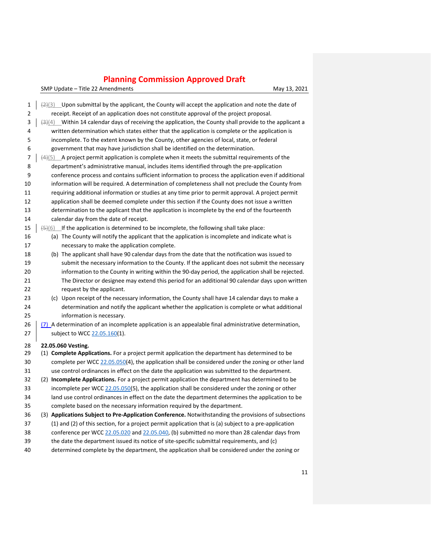| 1        | $\frac{2}{2}(3)$ Upon submittal by the applicant, the County will accept the application and note the date of                                                                                        |  |
|----------|------------------------------------------------------------------------------------------------------------------------------------------------------------------------------------------------------|--|
| 2        | receipt. Receipt of an application does not constitute approval of the project proposal.                                                                                                             |  |
| 3        | $\left(\frac{1}{2}\right)(4)$ Within 14 calendar days of receiving the application, the County shall provide to the applicant a                                                                      |  |
| 4        | written determination which states either that the application is complete or the application is                                                                                                     |  |
| 5        | incomplete. To the extent known by the County, other agencies of local, state, or federal                                                                                                            |  |
| 6        | government that may have jurisdiction shall be identified on the determination.                                                                                                                      |  |
| 7        | $(4)(5)$ A project permit application is complete when it meets the submittal requirements of the                                                                                                    |  |
| 8        | department's administrative manual, includes items identified through the pre-application                                                                                                            |  |
| 9        | conference process and contains sufficient information to process the application even if additional                                                                                                 |  |
| 10       | information will be required. A determination of completeness shall not preclude the County from                                                                                                     |  |
| 11       |                                                                                                                                                                                                      |  |
| 12       | requiring additional information or studies at any time prior to permit approval. A project permit                                                                                                   |  |
|          | application shall be deemed complete under this section if the County does not issue a written                                                                                                       |  |
| 13       | determination to the applicant that the application is incomplete by the end of the fourteenth                                                                                                       |  |
| 14       | calendar day from the date of receipt.                                                                                                                                                               |  |
| 15       | (5)(6) If the application is determined to be incomplete, the following shall take place:<br>(a) The County will notify the applicant that the application is incomplete and indicate what is        |  |
| 16<br>17 | necessary to make the application complete.                                                                                                                                                          |  |
| 18       | (b) The applicant shall have 90 calendar days from the date that the notification was issued to                                                                                                      |  |
| 19       | submit the necessary information to the County. If the applicant does not submit the necessary                                                                                                       |  |
| 20       |                                                                                                                                                                                                      |  |
| 21       | information to the County in writing within the 90-day period, the application shall be rejected.<br>The Director or designee may extend this period for an additional 90 calendar days upon written |  |
| 22       | request by the applicant.                                                                                                                                                                            |  |
| 23       | (c) Upon receipt of the necessary information, the County shall have 14 calendar days to make a                                                                                                      |  |
| 24       | determination and notify the applicant whether the application is complete or what additional                                                                                                        |  |
| 25       | information is necessary.                                                                                                                                                                            |  |
| 26       |                                                                                                                                                                                                      |  |
| 27       | $(7)$ A determination of an incomplete application is an appealable final administrative determination,<br>subject to WCC 22.05.160(1).                                                              |  |
|          |                                                                                                                                                                                                      |  |
| 28       | 22.05.060 Vesting.                                                                                                                                                                                   |  |
| 29       | (1) Complete Applications. For a project permit application the department has determined to be                                                                                                      |  |
| 30       | complete per WCC 22.05.05.04), the application shall be considered under the zoning or other land                                                                                                    |  |
| 31       | use control ordinances in effect on the date the application was submitted to the department.                                                                                                        |  |
| 32       | (2) Incomplete Applications. For a project permit application the department has determined to be                                                                                                    |  |
| 33       | incomplete per WCC 22.05.050(5), the application shall be considered under the zoning or other                                                                                                       |  |
| 34       | land use control ordinances in effect on the date the department determines the application to be                                                                                                    |  |
| 35       | complete based on the necessary information required by the department.                                                                                                                              |  |
| 36       | (3) Applications Subject to Pre-Application Conference. Notwithstanding the provisions of subsections                                                                                                |  |
| 37       | (1) and (2) of this section, for a project permit application that is (a) subject to a pre-application                                                                                               |  |
| 38       | conference per WCC 22.05.020 and 22.05.040, (b) submitted no more than 28 calendar days from                                                                                                         |  |
| 39       | the date the department issued its notice of site-specific submittal requirements, and (c)                                                                                                           |  |
| 40       | determined complete by the department, the application shall be considered under the zoning or                                                                                                       |  |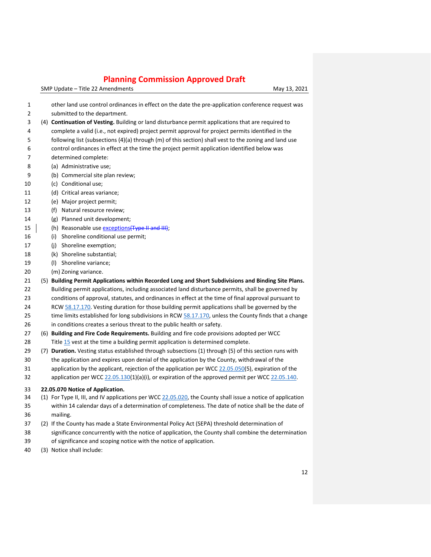| 1  | other land use control ordinances in effect on the date the pre-application conference request was          |
|----|-------------------------------------------------------------------------------------------------------------|
| 2  | submitted to the department.                                                                                |
| 3  | (4) Continuation of Vesting. Building or land disturbance permit applications that are required to          |
| 4  | complete a valid (i.e., not expired) project permit approval for project permits identified in the          |
| 5  | following list (subsections (4)(a) through (m) of this section) shall vest to the zoning and land use       |
| 6  | control ordinances in effect at the time the project permit application identified below was                |
| 7  | determined complete:                                                                                        |
| 8  | (a) Administrative use;                                                                                     |
| 9  | (b) Commercial site plan review;                                                                            |
| 10 | (c) Conditional use;                                                                                        |
| 11 | (d) Critical areas variance;                                                                                |
| 12 | (e) Major project permit;                                                                                   |
| 13 | (f) Natural resource review;                                                                                |
| 14 | (g) Planned unit development;                                                                               |
| 15 | (h) Reasonable use exceptions(Type II and III);                                                             |
| 16 | (i) Shoreline conditional use permit;                                                                       |
| 17 | (j) Shoreline exemption;                                                                                    |
| 18 | (k) Shoreline substantial;                                                                                  |
| 19 | (I) Shoreline variance;                                                                                     |
| 20 | (m) Zoning variance.                                                                                        |
| 21 | (5) Building Permit Applications within Recorded Long and Short Subdivisions and Binding Site Plans.        |
| 22 | Building permit applications, including associated land disturbance permits, shall be governed by           |
| 23 | conditions of approval, statutes, and ordinances in effect at the time of final approval pursuant to        |
| 24 | RCW 58.17.170. Vesting duration for those building permit applications shall be governed by the             |
| 25 | time limits established for long subdivisions in RCW $58.17.170$ , unless the County finds that a change    |
| 26 | in conditions creates a serious threat to the public health or safety.                                      |
| 27 | (6) Building and Fire Code Requirements. Building and fire code provisions adopted per WCC                  |
| 28 | Title 15 vest at the time a building permit application is determined complete.                             |
| 29 | (7) Duration. Vesting status established through subsections (1) through (5) of this section runs with      |
| 30 | the application and expires upon denial of the application by the County, withdrawal of the                 |
| 31 | application by the applicant, rejection of the application per WCC 22.05.050(5), expiration of the          |
| 32 | application per WCC $22.05.130(1)(a)(i)$ , or expiration of the approved permit per WCC $22.05.140$ .       |
| 33 | 22.05.070 Notice of Application.                                                                            |
| 34 | (1) For Type II, III, and IV applications per WCC 22.05.020, the County shall issue a notice of application |
| 35 | within 14 calendar days of a determination of completeness. The date of notice shall be the date of         |
| 36 | mailing.                                                                                                    |
| 37 | (2) If the County has made a State Environmental Policy Act (SEPA) threshold determination of               |
| 38 | significance concurrently with the notice of application, the County shall combine the determination        |
| 39 | of significance and scoping notice with the notice of application.                                          |
| 40 | (3) Notice shall include:                                                                                   |
|    |                                                                                                             |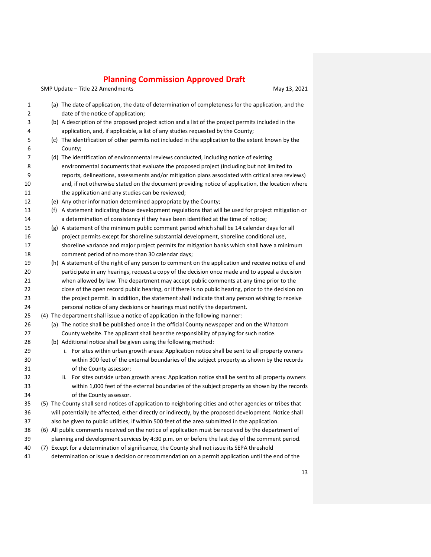| $\mathbf{1}$   |  | (a) The date of application, the date of determination of completeness for the application, and the      |
|----------------|--|----------------------------------------------------------------------------------------------------------|
| $\overline{2}$ |  | date of the notice of application;                                                                       |
| 3              |  | (b) A description of the proposed project action and a list of the project permits included in the       |
| 4              |  | application, and, if applicable, a list of any studies requested by the County;                          |
| 5              |  | (c) The identification of other permits not included in the application to the extent known by the       |
| 6              |  | County;                                                                                                  |
| 7              |  | (d) The identification of environmental reviews conducted, including notice of existing                  |
| 8              |  | environmental documents that evaluate the proposed project (including but not limited to                 |
| 9              |  | reports, delineations, assessments and/or mitigation plans associated with critical area reviews)        |
| 10             |  | and, if not otherwise stated on the document providing notice of application, the location where         |
| 11             |  | the application and any studies can be reviewed;                                                         |
| 12             |  | (e) Any other information determined appropriate by the County;                                          |
| 13             |  | (f) A statement indicating those development regulations that will be used for project mitigation or     |
| 14             |  | a determination of consistency if they have been identified at the time of notice;                       |
| 15             |  | (g) A statement of the minimum public comment period which shall be 14 calendar days for all             |
| 16             |  | project permits except for shoreline substantial development, shoreline conditional use,                 |
| 17             |  | shoreline variance and major project permits for mitigation banks which shall have a minimum             |
| 18             |  | comment period of no more than 30 calendar days;                                                         |
| 19             |  | (h) A statement of the right of any person to comment on the application and receive notice of and       |
| 20             |  | participate in any hearings, request a copy of the decision once made and to appeal a decision           |
| 21             |  | when allowed by law. The department may accept public comments at any time prior to the                  |
| 22             |  | close of the open record public hearing, or if there is no public hearing, prior to the decision on      |
| 23             |  | the project permit. In addition, the statement shall indicate that any person wishing to receive         |
| 24             |  | personal notice of any decisions or hearings must notify the department.                                 |
| 25             |  | (4) The department shall issue a notice of application in the following manner:                          |
| 26             |  | (a) The notice shall be published once in the official County newspaper and on the Whatcom               |
| 27             |  | County website. The applicant shall bear the responsibility of paying for such notice.                   |
| 28             |  | (b) Additional notice shall be given using the following method:                                         |
| 29             |  | i. For sites within urban growth areas: Application notice shall be sent to all property owners          |
| 30             |  | within 300 feet of the external boundaries of the subject property as shown by the records               |
| 31             |  | of the County assessor;                                                                                  |
| 32             |  | For sites outside urban growth areas: Application notice shall be sent to all property owners<br>ii.     |
| 33             |  | within 1,000 feet of the external boundaries of the subject property as shown by the records             |
| 34             |  | of the County assessor.                                                                                  |
| 35             |  | (5) The County shall send notices of application to neighboring cities and other agencies or tribes that |
| 36             |  | will potentially be affected, either directly or indirectly, by the proposed development. Notice shall   |
| 37             |  | also be given to public utilities, if within 500 feet of the area submitted in the application.          |
| 38             |  | (6) All public comments received on the notice of application must be received by the department of      |
| 39             |  | planning and development services by 4:30 p.m. on or before the last day of the comment period.          |
| 40             |  | (7) Except for a determination of significance, the County shall not issue its SEPA threshold            |
| 41             |  | determination or issue a decision or recommendation on a permit application until the end of the         |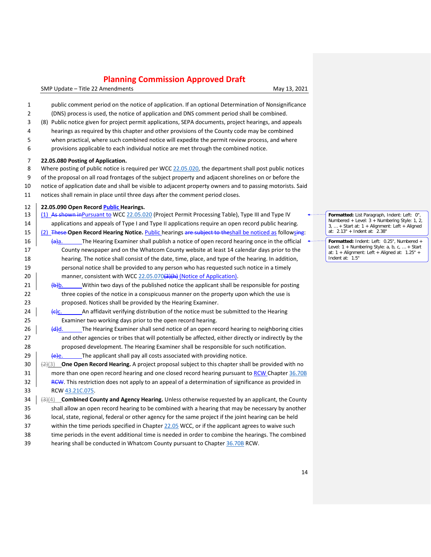SMP Update – Title 22 Amendments May 13, 2021

| 1<br>2<br>3<br>4<br>5<br>6 | public comment period on the notice of application. If an optional Determination of Nonsignificance<br>(DNS) process is used, the notice of application and DNS comment period shall be combined.<br>(8) Public notice given for project permit applications, SEPA documents, project hearings, and appeals<br>hearings as required by this chapter and other provisions of the County code may be combined<br>when practical, where such combined notice will expedite the permit review process, and where<br>provisions applicable to each individual notice are met through the combined notice. |  |
|----------------------------|------------------------------------------------------------------------------------------------------------------------------------------------------------------------------------------------------------------------------------------------------------------------------------------------------------------------------------------------------------------------------------------------------------------------------------------------------------------------------------------------------------------------------------------------------------------------------------------------------|--|
| 7                          | 22.05.080 Posting of Application.                                                                                                                                                                                                                                                                                                                                                                                                                                                                                                                                                                    |  |
| 8                          | Where posting of public notice is required per WCC 22.05.020, the department shall post public notices                                                                                                                                                                                                                                                                                                                                                                                                                                                                                               |  |
| 9                          | of the proposal on all road frontages of the subject property and adjacent shorelines on or before the                                                                                                                                                                                                                                                                                                                                                                                                                                                                                               |  |
| 10                         | notice of application date and shall be visible to adjacent property owners and to passing motorists. Said                                                                                                                                                                                                                                                                                                                                                                                                                                                                                           |  |
| 11                         | notices shall remain in place until three days after the comment period closes.                                                                                                                                                                                                                                                                                                                                                                                                                                                                                                                      |  |
| 12                         | 22.05.090 Open Record Public Hearings.                                                                                                                                                                                                                                                                                                                                                                                                                                                                                                                                                               |  |
| 13                         | (1) As shown inPursuant to WCC 22.05.020 (Project Permit Processing Table), Type III and Type IV                                                                                                                                                                                                                                                                                                                                                                                                                                                                                                     |  |
| 14                         | applications and appeals of Type I and Type II applications require an open record public hearing.                                                                                                                                                                                                                                                                                                                                                                                                                                                                                                   |  |
| 15                         | (2) These Open Record Hearing Notice. Public hearings are subject to theshall be noticed as followsing:                                                                                                                                                                                                                                                                                                                                                                                                                                                                                              |  |
| 16                         | The Hearing Examiner shall publish a notice of open record hearing once in the official<br><del>(a)</del> a.                                                                                                                                                                                                                                                                                                                                                                                                                                                                                         |  |
| 17                         | County newspaper and on the Whatcom County website at least 14 calendar days prior to the                                                                                                                                                                                                                                                                                                                                                                                                                                                                                                            |  |
| 18                         | hearing. The notice shall consist of the date, time, place, and type of the hearing. In addition,                                                                                                                                                                                                                                                                                                                                                                                                                                                                                                    |  |
| 19                         | personal notice shall be provided to any person who has requested such notice in a timely                                                                                                                                                                                                                                                                                                                                                                                                                                                                                                            |  |
| 20                         | manner, consistent with WCC 22.05.070(3)(h) (Notice of Application).                                                                                                                                                                                                                                                                                                                                                                                                                                                                                                                                 |  |
| 21                         | Within two days of the published notice the applicant shall be responsible for posting<br>$\bigoplus$ b.                                                                                                                                                                                                                                                                                                                                                                                                                                                                                             |  |
| 22                         | three copies of the notice in a conspicuous manner on the property upon which the use is                                                                                                                                                                                                                                                                                                                                                                                                                                                                                                             |  |
| 23                         | proposed. Notices shall be provided by the Hearing Examiner.                                                                                                                                                                                                                                                                                                                                                                                                                                                                                                                                         |  |
| 24                         | An affidavit verifying distribution of the notice must be submitted to the Hearing<br><del>(c)</del> c.                                                                                                                                                                                                                                                                                                                                                                                                                                                                                              |  |
| 25                         | Examiner two working days prior to the open record hearing.                                                                                                                                                                                                                                                                                                                                                                                                                                                                                                                                          |  |
| 26                         | The Hearing Examiner shall send notice of an open record hearing to neighboring cities<br><del>(d)</del> d.                                                                                                                                                                                                                                                                                                                                                                                                                                                                                          |  |
| 27                         | and other agencies or tribes that will potentially be affected, either directly or indirectly by the                                                                                                                                                                                                                                                                                                                                                                                                                                                                                                 |  |
| 28                         | proposed development. The Hearing Examiner shall be responsible for such notification.                                                                                                                                                                                                                                                                                                                                                                                                                                                                                                               |  |
| 29                         | The applicant shall pay all costs associated with providing notice.<br><del>(e)</del> e.                                                                                                                                                                                                                                                                                                                                                                                                                                                                                                             |  |
| 30                         | $\langle 2 \rangle$ (3) <b>One Open Record Hearing.</b> A project proposal subject to this chapter shall be provided with no                                                                                                                                                                                                                                                                                                                                                                                                                                                                         |  |
| 31                         | more than one open record hearing and one closed record hearing pursuant to RCW Chapter 36.70B                                                                                                                                                                                                                                                                                                                                                                                                                                                                                                       |  |
| 32                         | RCW. This restriction does not apply to an appeal of a determination of significance as provided in                                                                                                                                                                                                                                                                                                                                                                                                                                                                                                  |  |
| 33                         | RCW 43.21C.075.                                                                                                                                                                                                                                                                                                                                                                                                                                                                                                                                                                                      |  |
| 34                         | $\left(\frac{1}{2}\right)(4)$ Combined County and Agency Hearing. Unless otherwise requested by an applicant, the County                                                                                                                                                                                                                                                                                                                                                                                                                                                                             |  |
| 35                         | shall allow an open record hearing to be combined with a hearing that may be necessary by another                                                                                                                                                                                                                                                                                                                                                                                                                                                                                                    |  |
| 36                         | local, state, regional, federal or other agency for the same project if the joint hearing can be held                                                                                                                                                                                                                                                                                                                                                                                                                                                                                                |  |
| 37                         | within the time periods specified in Chapter 22.05 WCC, or if the applicant agrees to waive such                                                                                                                                                                                                                                                                                                                                                                                                                                                                                                     |  |
| 38                         | time periods in the event additional time is needed in order to combine the hearings. The combined                                                                                                                                                                                                                                                                                                                                                                                                                                                                                                   |  |
| $\sim$                     | $\blacksquare$                                                                                                                                                                                                                                                                                                                                                                                                                                                                                                                                                                                       |  |

39 hearing shall be conducted in Whatcom County pursuant to Chapter [36.70B](https://www.codepublishing.com/cgi-bin/rcw.pl?cite=36.70B) RCW.

**Formatted:** List Paragraph, Indent: Left: 0", Numbered + Level: 3 + Numbering Style: 1, 2, 3, … + Start at: 1 + Alignment: Left + Aligned at: 2.13" + Indent at: 2.38"

**Formatted:** Indent: Left: 0.25", Numbered +<br>Level: 1 + Numbering Style: a, b, c, ... + Start<br>at: 1 + Alignment: Left + Aligned at: 1.25" +<br>Indent at: 1.5"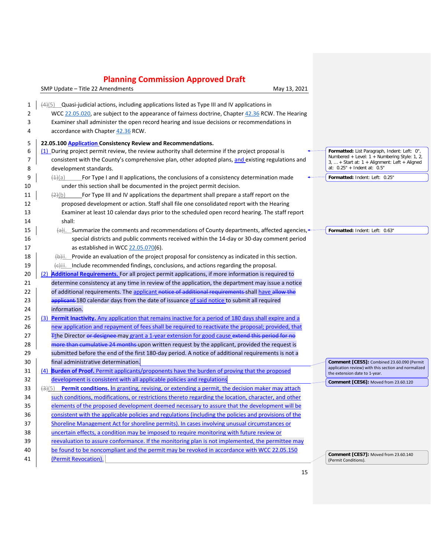| 1  | $\frac{44}{5}$ Quasi-judicial actions, including applications listed as Type III and IV applications in              |                                                                                                   |
|----|----------------------------------------------------------------------------------------------------------------------|---------------------------------------------------------------------------------------------------|
| 2  | WCC 22.05.020, are subject to the appearance of fairness doctrine, Chapter 42.36 RCW. The Hearing                    |                                                                                                   |
| 3  | Examiner shall administer the open record hearing and issue decisions or recommendations in                          |                                                                                                   |
| 4  | accordance with Chapter 42.36 RCW.                                                                                   |                                                                                                   |
| 5  | 22.05.100 Application Consistency Review and Recommendations.                                                        |                                                                                                   |
| 6  | $(1)$ During project permit review, the review authority shall determine if the project proposal is                  | Formatted: List Paragraph, Indent: Left: 0",                                                      |
| 7  | consistent with the County's comprehensive plan, other adopted plans, and existing regulations and                   | Numbered + Level: $1 +$ Numbering Style: 1, 2,<br>$3, $ + Start at: 1 + Alignment: Left + Aligned |
| 8  | development standards.                                                                                               | at: $0.25" + Indent at: 0.5"$                                                                     |
| 9  | (4)(a)<br>For Type I and II applications, the conclusions of a consistency determination made                        | Formatted: Indent: Left: 0.25"                                                                    |
| 10 | under this section shall be documented in the project permit decision.                                               |                                                                                                   |
| 11 | For Type III and IV applications the department shall prepare a staff report on the<br>(2)(b)                        |                                                                                                   |
| 12 | proposed development or action. Staff shall file one consolidated report with the Hearing                            |                                                                                                   |
| 13 | Examiner at least 10 calendar days prior to the scheduled open record hearing. The staff report                      |                                                                                                   |
| 14 | shall:                                                                                                               |                                                                                                   |
| 15 | $\leftrightarrow$ i. Summarize the comments and recommendations of County departments, affected agencies,            | Formatted: Indent: Left: 0.63"                                                                    |
| 16 | special districts and public comments received within the 14-day or 30-day comment period                            |                                                                                                   |
| 17 | as established in WCC 22.05.070(6).                                                                                  |                                                                                                   |
| 18 | $\leftrightarrow$ ii. Provide an evaluation of the project proposal for consistency as indicated in this section.    |                                                                                                   |
| 19 | $\left\langle \in\right\rangle$ [iii. Include recommended findings, conclusions, and actions regarding the proposal. |                                                                                                   |
| 20 | <b>Additional Requirements.</b> For all project permit applications, if more information is required to              |                                                                                                   |
| 21 | determine consistency at any time in review of the application, the department may issue a notice                    |                                                                                                   |
| 22 | of additional requirements. The applicant notice of additional requirements shall have allow the                     |                                                                                                   |
| 23 | applicant-180 calendar days from the date of issuance of said notice to submit all required                          |                                                                                                   |
| 24 | information.                                                                                                         |                                                                                                   |
| 25 | (3) <b>Permit Inactivity.</b> Any application that remains inactive for a period of 180 days shall expire and a      |                                                                                                   |
| 26 | new application and repayment of fees shall be required to reactivate the proposal; provided, that                   |                                                                                                   |
| 27 | The Director or designee may grant a 1-year extension for good cause extend this period for no                       |                                                                                                   |
| 28 | more than cumulative 24 months-upon written request by the applicant, provided the request is                        |                                                                                                   |
| 29 | submitted before the end of the first 180-day period. A notice of additional requirements is not a                   |                                                                                                   |
| 30 | final administrative determination.                                                                                  | Comment [CES5]: Combined 23.60.090 (Permit                                                        |
| 31 | (4) <b>Burden of Proof.</b> Permit applicants/proponents have the burden of proving that the proposed                | application review) with this section and normalized<br>the extension date to 1-year.             |
| 32 | development is consistent with all applicable policies and regulations                                               | Comment [CES6]: Moved from 23.60.120                                                              |
| 33 | (3)(5)<br><b>Permit conditions.</b> In granting, revising, or extending a permit, the decision maker may attach      |                                                                                                   |
| 34 | such conditions, modifications, or restrictions thereto regarding the location, character, and other                 |                                                                                                   |
| 35 | elements of the proposed development deemed necessary to assure that the development will be                         |                                                                                                   |
| 36 | consistent with the applicable policies and regulations (including the policies and provisions of the                |                                                                                                   |
| 37 | Shoreline Management Act for shoreline permits). In cases involving unusual circumstances or                         |                                                                                                   |
| 38 | uncertain effects, a condition may be imposed to require monitoring with future review or                            |                                                                                                   |
| 39 | reevaluation to assure conformance. If the monitoring plan is not implemented, the permittee may                     |                                                                                                   |
| 40 | be found to be noncompliant and the permit may be revoked in accordance with WCC 22.05.150                           |                                                                                                   |
| 41 | (Permit Revocation).                                                                                                 | Comment [CES7]: Moved from 23.60.140<br>(Permit Conditions).                                      |
|    |                                                                                                                      |                                                                                                   |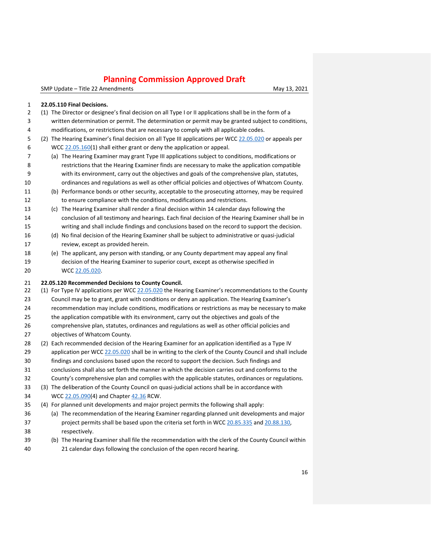SMP Update – Title 22 Amendments May 13, 2021

#### **22.05.110 Final Decisions.**

- (1) The Director or designee's final decision on all Type I or II applications shall be in the form of a written determination or permit. The determination or permit may be granted subject to conditions,
- modifications, or restrictions that are necessary to comply with all applicable codes.
- 5 (2) The Hearing Examiner's final decision on all Type III applications per WCC [22.05.020](https://www.codepublishing.com/WA/WhatcomCounty/#!/WhatcomCounty22/WhatcomCounty2205.html#22.05.020) or appeals per 6 WCC  $\frac{22.05.160(1)}{2}$  $\frac{22.05.160(1)}{2}$  $\frac{22.05.160(1)}{2}$  shall either grant or deny the application or appeal.
- (a) The Hearing Examiner may grant Type III applications subject to conditions, modifications or restrictions that the Hearing Examiner finds are necessary to make the application compatible with its environment, carry out the objectives and goals of the comprehensive plan, statutes, ordinances and regulations as well as other official policies and objectives of Whatcom County.
- (b) Performance bonds or other security, acceptable to the prosecuting attorney, may be required
- to ensure compliance with the conditions, modifications and restrictions.
- (c) The Hearing Examiner shall render a final decision within 14 calendar days following the conclusion of all testimony and hearings. Each final decision of the Hearing Examiner shall be in writing and shall include findings and conclusions based on the record to support the decision.
- (d) No final decision of the Hearing Examiner shall be subject to administrative or quasi-judicial review, except as provided herein.
- (e) The applicant, any person with standing, or any County department may appeal any final decision of the Hearing Examiner to superior court, except as otherwise specified in WCC [22.05.020.](https://www.codepublishing.com/WA/WhatcomCounty/#!/WhatcomCounty22/WhatcomCounty2205.html#22.05.020)

#### **22.05.120 Recommended Decisions to County Council.**

- 22 (1) For Type IV applications per WCC [22.05.020](https://www.codepublishing.com/WA/WhatcomCounty/#!/WhatcomCounty22/WhatcomCounty2205.html#22.05.020) the Hearing Examiner's recommendations to the County Council may be to grant, grant with conditions or deny an application. The Hearing Examiner's
- recommendation may include conditions, modifications or restrictions as may be necessary to make
- the application compatible with its environment, carry out the objectives and goals of the
- comprehensive plan, statutes, ordinances and regulations as well as other official policies and objectives of Whatcom County.
- (2) Each recommended decision of the Hearing Examiner for an application identified as a Type IV 29 application per WCC [22.05.020](https://www.codepublishing.com/WA/WhatcomCounty/#!/WhatcomCounty22/WhatcomCounty2205.html#22.05.020) shall be in writing to the clerk of the County Council and shall include
- findings and conclusions based upon the record to support the decision. Such findings and
- conclusions shall also set forth the manner in which the decision carries out and conforms to the
- County's comprehensive plan and complies with the applicable statutes, ordinances or regulations.
- (3) The deliberation of the County Council on quasi-judicial actions shall be in accordance with WCC [22.05.090\(](https://www.codepublishing.com/WA/WhatcomCounty/#!/WhatcomCounty22/WhatcomCounty2205.html#22.05.090)4) and Chapter [42.36](https://www.codepublishing.com/cgi-bin/rcw.pl?cite=42.36) RCW.
- (4) For planned unit developments and major project permits the following shall apply:
- (a) The recommendation of the Hearing Examiner regarding planned unit developments and major project permits shall be based upon the criteria set forth in WCC [20.85.335](https://www.codepublishing.com/WA/WhatcomCounty/#!/WhatcomCounty20/WhatcomCounty2085.html#20.85.335) and [20.88.130,](https://www.codepublishing.com/WA/WhatcomCounty/#!/WhatcomCounty20/WhatcomCounty2088.html#20.88.130) respectively.
- (b) The Hearing Examiner shall file the recommendation with the clerk of the County Council within 21 calendar days following the conclusion of the open record hearing.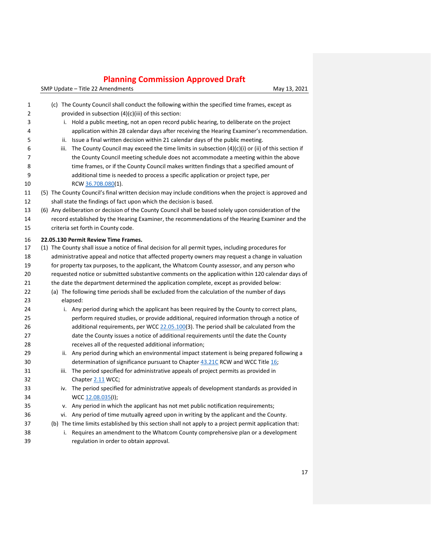| 1  | (c) The County Council shall conduct the following within the specified time frames, except as             |
|----|------------------------------------------------------------------------------------------------------------|
| 2  | provided in subsection (4)(c)(iii) of this section:                                                        |
| 3  | i. Hold a public meeting, not an open record public hearing, to deliberate on the project                  |
| 4  | application within 28 calendar days after receiving the Hearing Examiner's recommendation.                 |
| 5  | ii. Issue a final written decision within 21 calendar days of the public meeting.                          |
| 6  | The County Council may exceed the time limits in subsection $(4)(c)(i)$ or (ii) of this section if<br>iii. |
| 7  | the County Council meeting schedule does not accommodate a meeting within the above                        |
| 8  | time frames, or if the County Council makes written findings that a specified amount of                    |
| 9  | additional time is needed to process a specific application or project type, per                           |
| 10 | RCW 36.70B.080(1).                                                                                         |
| 11 | (5) The County Council's final written decision may include conditions when the project is approved and    |
| 12 | shall state the findings of fact upon which the decision is based.                                         |
| 13 | (6) Any deliberation or decision of the County Council shall be based solely upon consideration of the     |
| 14 | record established by the Hearing Examiner, the recommendations of the Hearing Examiner and the            |
| 15 | criteria set forth in County code.                                                                         |
| 16 | 22.05.130 Permit Review Time Frames.                                                                       |
| 17 | (1) The County shall issue a notice of final decision for all permit types, including procedures for       |
| 18 | administrative appeal and notice that affected property owners may request a change in valuation           |
| 19 | for property tax purposes, to the applicant, the Whatcom County assessor, and any person who               |
| 20 | requested notice or submitted substantive comments on the application within 120 calendar days of          |
| 21 | the date the department determined the application complete, except as provided below:                     |
| 22 | (a) The following time periods shall be excluded from the calculation of the number of days                |
| 23 | elapsed:                                                                                                   |
| 24 | i. Any period during which the applicant has been required by the County to correct plans,                 |
| 25 | perform required studies, or provide additional, required information through a notice of                  |
| 26 | additional requirements, per WCC 22.05.100(3). The period shall be calculated from the                     |
| 27 | date the County issues a notice of additional requirements until the date the County                       |
| 28 | receives all of the requested additional information;                                                      |
| 29 | ii. Any period during which an environmental impact statement is being prepared following a                |
| 30 | determination of significance pursuant to Chapter 43.21C RCW and WCC Title 16;                             |
| 31 | iii. The period specified for administrative appeals of project permits as provided in                     |
| 32 | Chapter 2.11 WCC;                                                                                          |
| 33 | iv. The period specified for administrative appeals of development standards as provided in                |
| 34 | WCC 12.08.035(I);                                                                                          |
| 35 | v. Any period in which the applicant has not met public notification requirements;                         |
| 36 | vi. Any period of time mutually agreed upon in writing by the applicant and the County.                    |
| 37 | (b) The time limits established by this section shall not apply to a project permit application that:      |
| 38 | Requires an amendment to the Whatcom County comprehensive plan or a development<br>i.                      |
| 39 | regulation in order to obtain approval.                                                                    |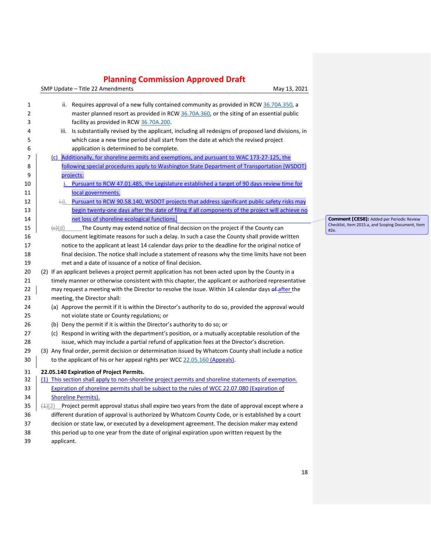SMP Update – Title 22 Amendments May 13, 2021

**Comment [CES8]:** Added per Periodic Review Checklist, Item 2015.a, and Scoping Document, Item

#2e.

| 1<br>2 | Requires approval of a new fully contained community as provided in RCW 36.70A.350, a<br>ii.<br>master planned resort as provided in RCW 36.70A.360, or the siting of an essential public |                                                                                                       |  |  |  |
|--------|-------------------------------------------------------------------------------------------------------------------------------------------------------------------------------------------|-------------------------------------------------------------------------------------------------------|--|--|--|
| 3      | facility as provided in RCW 36.70A.200.                                                                                                                                                   |                                                                                                       |  |  |  |
| 4      | iii.                                                                                                                                                                                      | Is substantially revised by the applicant, including all redesigns of proposed land divisions, in     |  |  |  |
| 5      |                                                                                                                                                                                           | which case a new time period shall start from the date at which the revised project                   |  |  |  |
| 6      |                                                                                                                                                                                           | application is determined to be complete.                                                             |  |  |  |
| 7      |                                                                                                                                                                                           | (c) Additionally, for shoreline permits and exemptions, and pursuant to WAC 173-27-125, the           |  |  |  |
| 8      |                                                                                                                                                                                           | following special procedures apply to Washington State Department of Transportation (WSDOT)           |  |  |  |
| 9      |                                                                                                                                                                                           | projects:                                                                                             |  |  |  |
| 10     |                                                                                                                                                                                           | Pursuant to RCW 47.01.485, the Legislature established a target of 90 days review time for            |  |  |  |
| 11     |                                                                                                                                                                                           | local governments.                                                                                    |  |  |  |
| 12     |                                                                                                                                                                                           | i-ii. Pursuant to RCW 90.58.140, WSDOT projects that address significant public safety risks may      |  |  |  |
| 13     |                                                                                                                                                                                           | begin twenty-one days after the date of filing if all components of the project will achieve no       |  |  |  |
| 14     |                                                                                                                                                                                           | net loss of shoreline ecological functions.                                                           |  |  |  |
| 15     | <del>(c)</del> (d)                                                                                                                                                                        | The County may extend notice of final decision on the project if the County can                       |  |  |  |
| 16     |                                                                                                                                                                                           | document legitimate reasons for such a delay. In such a case the County shall provide written         |  |  |  |
| 17     |                                                                                                                                                                                           | notice to the applicant at least 14 calendar days prior to the deadline for the original notice of    |  |  |  |
| 18     |                                                                                                                                                                                           | final decision. The notice shall include a statement of reasons why the time limits have not been     |  |  |  |
| 19     | met and a date of issuance of a notice of final decision.                                                                                                                                 |                                                                                                       |  |  |  |
| 20     | (2) If an applicant believes a project permit application has not been acted upon by the County in a                                                                                      |                                                                                                       |  |  |  |
| 21     | timely manner or otherwise consistent with this chapter, the applicant or authorized representative                                                                                       |                                                                                                       |  |  |  |
| 22     | may request a meeting with the Director to resolve the issue. Within 14 calendar days of after the                                                                                        |                                                                                                       |  |  |  |
| 23     | meeting, the Director shall:                                                                                                                                                              |                                                                                                       |  |  |  |
| 24     | (a) Approve the permit if it is within the Director's authority to do so, provided the approval would                                                                                     |                                                                                                       |  |  |  |
| 25     | not violate state or County regulations; or                                                                                                                                               |                                                                                                       |  |  |  |
| 26     |                                                                                                                                                                                           | (b) Deny the permit if it is within the Director's authority to do so; or                             |  |  |  |
| 27     | (c) Respond in writing with the department's position, or a mutually acceptable resolution of the                                                                                         |                                                                                                       |  |  |  |
| 28     | issue, which may include a partial refund of application fees at the Director's discretion.                                                                                               |                                                                                                       |  |  |  |
| 29     |                                                                                                                                                                                           | (3) Any final order, permit decision or determination issued by Whatcom County shall include a notice |  |  |  |
| 30     | to the applicant of his or her appeal rights per WCC 22.05.160 (Appeals).                                                                                                                 |                                                                                                       |  |  |  |
| 31     |                                                                                                                                                                                           | 22.05.140 Expiration of Project Permits.                                                              |  |  |  |
| 32     |                                                                                                                                                                                           | (1) This section shall apply to non-shoreline project permits and shoreline statements of exemption.  |  |  |  |
| 33     |                                                                                                                                                                                           | Expiration of shoreline permits shall be subject to the rules of WCC 22.07.080 (Expiration of         |  |  |  |
| 34     | <b>Shoreline Permits).</b>                                                                                                                                                                |                                                                                                       |  |  |  |
| 35     | $\left(\frac{1}{2}\right)(2)$ Project permit approval status shall expire two years from the date of approval except where a                                                              |                                                                                                       |  |  |  |
| 36     | different duration of approval is authorized by Whatcom County Code, or is established by a court                                                                                         |                                                                                                       |  |  |  |
| 37     | decision or state law, or executed by a development agreement. The decision maker may extend                                                                                              |                                                                                                       |  |  |  |
| 38     | this period up to one year from the date of original expiration upon written request by the                                                                                               |                                                                                                       |  |  |  |

applicant.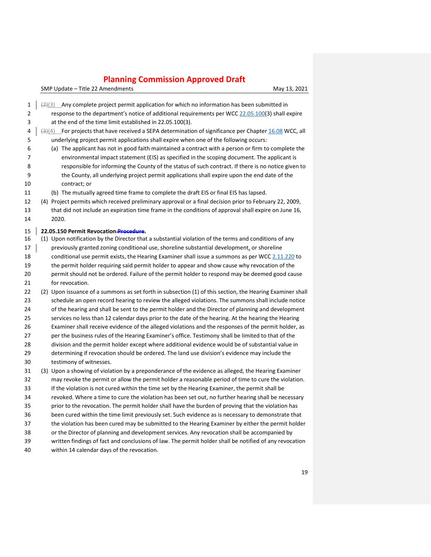| 1        |  | $\frac{2}{2}(3)$ Any complete project permit application for which no information has been submitted in                       |
|----------|--|-------------------------------------------------------------------------------------------------------------------------------|
| 2        |  | response to the department's notice of additional requirements per WCC 22.05.100(3) shall expire                              |
| 3        |  | at the end of the time limit established in 22.05.100(3).                                                                     |
| 4        |  | $\left(\frac{1}{2}\right)(4)$ For projects that have received a SEPA determination of significance per Chapter 16.08 WCC, all |
| 5        |  | underlying project permit applications shall expire when one of the following occurs:                                         |
| 6        |  | (a) The applicant has not in good faith maintained a contract with a person or firm to complete the                           |
| 7        |  | environmental impact statement (EIS) as specified in the scoping document. The applicant is                                   |
| 8        |  | responsible for informing the County of the status of such contract. If there is no notice given to                           |
| 9        |  | the County, all underlying project permit applications shall expire upon the end date of the                                  |
| 10       |  | contract; or<br>(b) The mutually agreed time frame to complete the draft EIS or final EIS has lapsed.                         |
| 11       |  | (4) Project permits which received preliminary approval or a final decision prior to February 22, 2009,                       |
| 12<br>13 |  | that did not include an expiration time frame in the conditions of approval shall expire on June 16,                          |
| 14       |  | 2020.                                                                                                                         |
|          |  |                                                                                                                               |
| 15       |  | 22.05.150 Permit Revocation-Procedure.                                                                                        |
| 16       |  | (1) Upon notification by the Director that a substantial violation of the terms and conditions of any                         |
| 17       |  | previously granted zoning conditional use, shoreline substantial development, or shoreline                                    |
| 18       |  | conditional use permit exists, the Hearing Examiner shall issue a summons as per WCC 2.11.220 to                              |
| 19       |  | the permit holder requiring said permit holder to appear and show cause why revocation of the                                 |
| 20       |  | permit should not be ordered. Failure of the permit holder to respond may be deemed good cause<br>for revocation.             |
| 21<br>22 |  | (2) Upon issuance of a summons as set forth in subsection (1) of this section, the Hearing Examiner shall                     |
| 23       |  | schedule an open record hearing to review the alleged violations. The summons shall include notice                            |
| 24       |  | of the hearing and shall be sent to the permit holder and the Director of planning and development                            |
| 25       |  | services no less than 12 calendar days prior to the date of the hearing. At the hearing the Hearing                           |
| 26       |  | Examiner shall receive evidence of the alleged violations and the responses of the permit holder, as                          |
| 27       |  | per the business rules of the Hearing Examiner's office. Testimony shall be limited to that of the                            |
| 28       |  | division and the permit holder except where additional evidence would be of substantial value in                              |
| 29       |  | determining if revocation should be ordered. The land use division's evidence may include the                                 |
| 30       |  | testimony of witnesses.                                                                                                       |
| 31       |  | (3) Upon a showing of violation by a preponderance of the evidence as alleged, the Hearing Examiner                           |
| 32       |  | may revoke the permit or allow the permit holder a reasonable period of time to cure the violation.                           |
| 33       |  | If the violation is not cured within the time set by the Hearing Examiner, the permit shall be                                |
| 34       |  | revoked. Where a time to cure the violation has been set out, no further hearing shall be necessary                           |
| 35       |  | prior to the revocation. The permit holder shall have the burden of proving that the violation has                            |
| 36       |  | been cured within the time limit previously set. Such evidence as is necessary to demonstrate that                            |
| 37       |  | the violation has been cured may be submitted to the Hearing Examiner by either the permit holder                             |
| 38       |  | or the Director of planning and development services. Any revocation shall be accompanied by                                  |
| 39       |  | written findings of fact and conclusions of law. The permit holder shall be notified of any revocation                        |
| 40       |  | within 14 calendar days of the revocation.                                                                                    |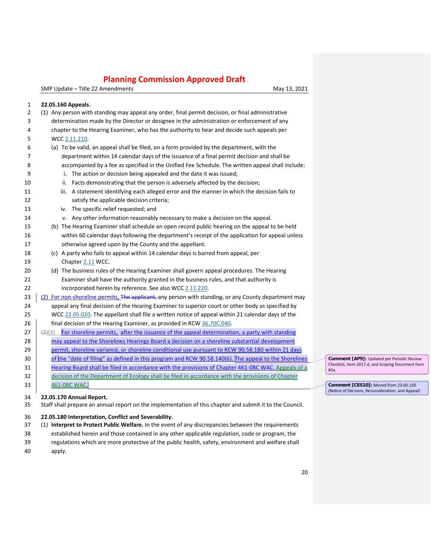SMP Update – Title 22 Amendments May 13, 2021

#### **22.05.160 Appeals.** (1) Any person with standing may appeal any order, final permit decision, or final administrative determination made by the Director or designee in the administration or enforcement of any chapter to the Hearing Examiner, who has the authority to hear and decide such appeals per WCC [2.11.210.](https://www.codepublishing.com/WA/WhatcomCounty/#!/WhatcomCounty02/WhatcomCounty0211.html#2.11.210) (a) To be valid, an appeal shall be filed, on a form provided by the department, with the department within 14 calendar days of the issuance of a final permit decision and shall be accompanied by a fee as specified in the Unified Fee Schedule. The written appeal shall include: i. The action or decision being appealed and the date it was issued; 10 ii. Facts demonstrating that the person is adversely affected by the decision; 11 iii. A statement identifying each alleged error and the manner in which the decision fails to satisfy the applicable decision criteria; iv. The specific relief requested; and v. Any other information reasonably necessary to make a decision on the appeal. (b) The Hearing Examiner shall schedule an open record public hearing on the appeal to be held within 60 calendar days following the department's receipt of the application for appeal unless otherwise agreed upon by the County and the appellant. (c) A party who fails to appeal within 14 calendar days is barred from appeal, per Chapter [2.11](https://www.codepublishing.com/WA/WhatcomCounty/#!/WhatcomCounty02/WhatcomCounty0211.html#2.11) WCC. (d) The business rules of the Hearing Examiner shall govern appeal procedures. The Hearing Examiner shall have the authority granted in the business rules, and that authority is incorporated herein by reference. See also WCC [2.11.220.](https://www.codepublishing.com/WA/WhatcomCounty/#!/WhatcomCounty02/WhatcomCounty0211.html#2.11.220) 23 (2) For non-shoreline permits, The applicant, any person with standing, or any County department may appeal any final decision of the Hearing Examiner to superior court or other body as specified by WCC [22.05.020.](https://www.codepublishing.com/WA/WhatcomCounty/#!/WhatcomCounty22/WhatcomCounty2205.html#22.05.020) The appellant shall file a written notice of appeal within 21 calendar days of the  $\parallel$  final decision of the Hearing Examiner, as provided in RCW [36.70C.040.](https://www.codepublishing.com/cgi-bin/rcw.pl?cite=36.70C.040)  $(\frac{2}{3})$  For shoreline permits, after the issuance of the appeal determination, a party with standing 28 may appeal to the Shorelines Hearings Board a decision on a shoreline substantial development 29 permit, shoreline variance, or shoreline conditional use pursuant to RCW 90.58.180 within 21 days 30 fthe "date of filing" as defined in this program and RCW 90.58.140(6). The appeal to the Shorelines Hearing Board shall be filed in accordance with the provisions of Chapter 461-08C WAC. Appeals of a decision of the Department of Ecology shall be filed in accordance with the provisions of Chapter 461-08C WAC. **22.05.170 Annual Report.**

- 
- Staff shall prepare an annual report on the implementation of this chapter and submit it to the Council.

#### **22.05.180 Interpretation, Conflict and Severability.**

- (1) **Interpret to Protect Public Welfare.** In the event of any discrepancies between the requirements established herein and those contained in any other applicable regulation, code or program, the
- regulations which are more protective of the public health, safety, environment and welfare shall
- apply.

**Comment [AP9]:** Updated per Periodic Review Checklist, Item 2017.d, and Scoping Document Item #2a.

**Comment [CES10]:** Moved from 23.60.150 (Notice of Decision, Reconsideration, and Appeal)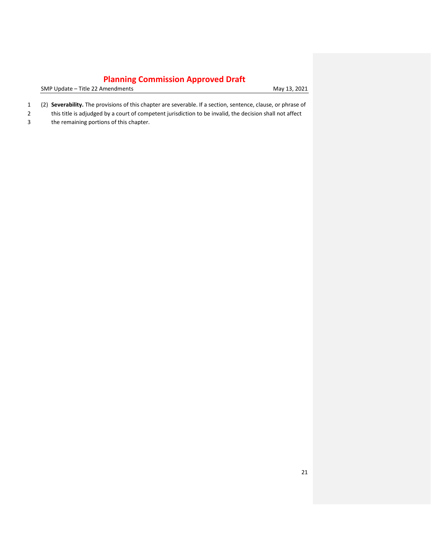- (2) **Severability.** The provisions of this chapter are severable. If a section, sentence, clause, or phrase of
- this title is adjudged by a court of competent jurisdiction to be invalid, the decision shall not affect
- the remaining portions of this chapter.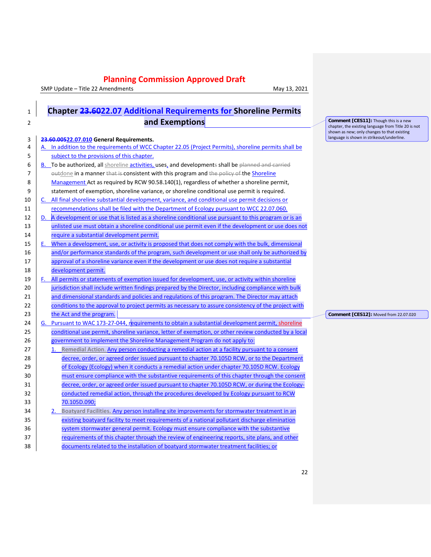SMP Update – Title 22 Amendments May 13, 2021

| 1  | Chapter 23.6022.07 Additional Requirements for Shoreline Permits |                                                                                                       |                                                                                                       |                 |  |  |
|----|------------------------------------------------------------------|-------------------------------------------------------------------------------------------------------|-------------------------------------------------------------------------------------------------------|-----------------|--|--|
| 2  |                                                                  |                                                                                                       | and Exemptions                                                                                        | Comn            |  |  |
|    |                                                                  |                                                                                                       |                                                                                                       | chapte<br>shown |  |  |
| 3  |                                                                  |                                                                                                       | 23.60.00522.07.010 General Requirements.                                                              | langua          |  |  |
| 4  |                                                                  | A. In addition to the requirements of WCC Chapter 22.05 (Project Permits), shoreline permits shall be |                                                                                                       |                 |  |  |
| 5  |                                                                  |                                                                                                       | subject to the provisions of this chapter.                                                            |                 |  |  |
| 6  |                                                                  |                                                                                                       | B. To be authorized, all shoreline activities, uses, and developments shall be planned and carried    |                 |  |  |
| 7  |                                                                  |                                                                                                       | outdone in a manner that is consistent with this program and the policy of the Shoreline              |                 |  |  |
| 8  |                                                                  |                                                                                                       | Management Act as required by RCW 90.58.140(1), regardless of whether a shoreline permit,             |                 |  |  |
| 9  |                                                                  |                                                                                                       | statement of exemption, shoreline variance, or shoreline conditional use permit is required.          |                 |  |  |
| 10 | C.                                                               |                                                                                                       | All final shoreline substantial development, variance, and conditional use permit decisions or        |                 |  |  |
| 11 |                                                                  |                                                                                                       | recommendations shall be filed with the Department of Ecology pursuant to WCC 22.07.060.              |                 |  |  |
| 12 | D.                                                               |                                                                                                       | A development or use that is listed as a shoreline conditional use pursuant to this program or is an  |                 |  |  |
| 13 |                                                                  |                                                                                                       | unlisted use must obtain a shoreline conditional use permit even if the development or use does not   |                 |  |  |
| 14 |                                                                  |                                                                                                       | require a substantial development permit.                                                             |                 |  |  |
| 15 | Е.                                                               |                                                                                                       | When a development, use, or activity is proposed that does not comply with the bulk, dimensional      |                 |  |  |
| 16 |                                                                  |                                                                                                       | and/or performance standards of the program, such development or use shall only be authorized by      |                 |  |  |
| 17 |                                                                  |                                                                                                       | approval of a shoreline variance even if the development or use does not require a substantial        |                 |  |  |
| 18 |                                                                  |                                                                                                       | development permit.                                                                                   |                 |  |  |
| 19 | F.                                                               |                                                                                                       | All permits or statements of exemption issued for development, use, or activity within shoreline      |                 |  |  |
| 20 |                                                                  |                                                                                                       | jurisdiction shall include written findings prepared by the Director, including compliance with bulk  |                 |  |  |
| 21 |                                                                  | and dimensional standards and policies and regulations of this program. The Director may attach       |                                                                                                       |                 |  |  |
| 22 |                                                                  | conditions to the approval to project permits as necessary to assure consistency of the project with  |                                                                                                       |                 |  |  |
| 23 |                                                                  |                                                                                                       | the Act and the program.                                                                              | Comn            |  |  |
| 24 | G.                                                               |                                                                                                       | Pursuant to WAC 173-27-044, requirements to obtain a substantial development permit, shoreline        |                 |  |  |
| 25 |                                                                  |                                                                                                       | conditional use permit, shoreline variance, letter of exemption, or other review conducted by a local |                 |  |  |
| 26 |                                                                  |                                                                                                       | government to implement the Shoreline Management Program do not apply to:                             |                 |  |  |
| 27 |                                                                  |                                                                                                       | Remedial Action. Any person conducting a remedial action at a facility pursuant to a consent          |                 |  |  |
| 28 |                                                                  |                                                                                                       | decree, order, or agreed order issued pursuant to chapter 70.105D RCW, or to the Department           |                 |  |  |
| 29 |                                                                  |                                                                                                       | of Ecology (Ecology) when it conducts a remedial action under chapter 70.105D RCW. Ecology            |                 |  |  |
| 30 |                                                                  |                                                                                                       | must ensure compliance with the substantive requirements of this chapter through the consent          |                 |  |  |
| 31 |                                                                  |                                                                                                       | decree, order, or agreed order issued pursuant to chapter 70.105D RCW, or during the Ecology-         |                 |  |  |
| 32 |                                                                  |                                                                                                       | conducted remedial action, through the procedures developed by Ecology pursuant to RCW                |                 |  |  |
| 33 |                                                                  |                                                                                                       | 70.105D.090;                                                                                          |                 |  |  |
| 34 |                                                                  |                                                                                                       | 2. Boatyard Facilities. Any person installing site improvements for stormwater treatment in an        |                 |  |  |
| 35 |                                                                  |                                                                                                       | existing boatyard facility to meet requirements of a national pollutant discharge elimination         |                 |  |  |
| 36 |                                                                  |                                                                                                       | system stormwater general permit. Ecology must ensure compliance with the substantive                 |                 |  |  |
| 37 |                                                                  |                                                                                                       | requirements of this chapter through the review of engineering reports, site plans, and other         |                 |  |  |
| 38 |                                                                  |                                                                                                       | documents related to the installation of boatyard stormwater treatment facilities; or                 |                 |  |  |

**Comment [CES11]:** Though this is a new<br>chapter, the existing language from Title 20 is not<br>shown as new; only changes to that existing<br>language is shown in strikeout/underline.

**nent [CES12]:** Moved from 22.07.020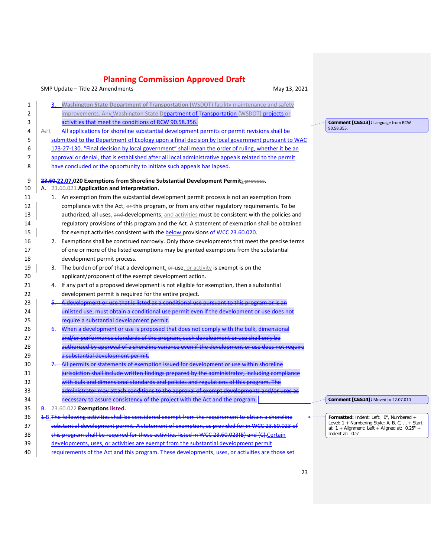|    |      | SMP Update - Title 22 Amendments                                                                     | May 13, 2021 |
|----|------|------------------------------------------------------------------------------------------------------|--------------|
| 1  |      | <b>Washington State Department of Transportation (WSDOT) facility maintenance and safety</b>         |              |
| 2  |      | improvements. Any Washington State Department of Transportation (WSDOT) projects or                  |              |
| 3  |      | activities that meet the conditions of RCW 90.58.356.                                                |              |
| 4  | A.H. | All applications for shoreline substantial development permits or permit revisions shall be          | 9            |
| 5  |      | submitted to the Department of Ecology upon a final decision by local government pursuant to WAC     |              |
| 6  |      | 173-27-130. "Final decision by local government" shall mean the order of ruling, whether it be an    |              |
| 7  |      | approval or denial, that is established after all local administrative appeals related to the permit |              |
| 8  |      | have concluded or the opportunity to initiate such appeals has lapsed.                               |              |
| 9  |      | 23.60.22.07.020 Exemptions from Shoreline Substantial Development Permits-process.                   |              |
| 10 |      | 23.60.021 Application and interpretation.                                                            |              |
| 11 |      | 1. An exemption from the substantial development permit process is not an exemption from             |              |
| 12 |      | compliance with the Act, ethis program, or from any other regulatory requirements. To be             |              |
| 13 |      | authorized, all uses, and developments, and activities must be consistent with the policies and      |              |
| 14 |      | regulatory provisions of this program and the Act. A statement of exemption shall be obtained        |              |
| 15 |      | for exempt activities consistent with the <b>below</b> provisions-of WCC 23.60.020.                  |              |
| 16 |      | 2. Exemptions shall be construed narrowly. Only those developments that meet the precise terms       |              |
| 17 |      | of one or more of the listed exemptions may be granted exemptions from the substantial               |              |
| 18 |      | development permit process.                                                                          |              |
| 19 | 3.   | The burden of proof that a development, $e\text{-}$ use, or activity is exempt is on the             |              |
| 20 |      | applicant/proponent of the exempt development action.                                                |              |
| 21 |      | 4. If any part of a proposed development is not eligible for exemption, then a substantial           |              |
| 22 |      | development permit is required for the entire project.                                               |              |
| 23 |      | A development or use that is listed as a conditional use pursuant to this program or is an           |              |
| 24 |      | unlisted use, must obtain a conditional use permit even if the development or use does not           |              |
| 25 |      | require a substantial development permit.                                                            |              |
| 26 |      | When a development or use is proposed that does not comply with the bulk, dimensional                |              |
| 27 |      | and/or performance standards of the program, such development or use shall only be                   |              |
| 28 |      | authorized by approval of a shoreline variance even if the development or use does not require       |              |
| 29 |      | a substantial development permit.                                                                    |              |
| 30 |      | All permits or statements of exemption issued for development or use within shoreline                |              |
| 31 |      | jurisdiction shall include written findings prepared by the administrator, including compliance      |              |
| 32 |      | with bulk and dimensional standards and policies and regulations of this program. The                |              |
| 33 |      | administrator may attach conditions to the approval of exempt developments and/or uses               |              |
| 34 |      | necessary to assure consistency of the project with the Act and the program.                         |              |
| 35 |      | -23.60.022 <b>Exemptions <del>listed</del>.</b>                                                      |              |
| 36 |      | 4-B. The following activities shall be considered exempt from the requirement to obtain a shoreline  | F<br>L       |
| 37 |      | substantial development permit. A statement of exemption, as provided for in WCC 23.60.023 of        | a            |
| 38 |      | this program shall be required for those activities listed in WCC 23.60.023(B) and (C).Certain       |              |
| 39 |      | developments, uses, or activities are exempt from the substantial development permit                 |              |
| 40 |      | requirements of the Act and this program. These developments, uses, or activities are those set      |              |

**Comment [CES13]:** Language from RCW 90.58.355.

**Comment [CES14]:** Moved to 22.07.010

**Formatted:** Indent: Left: 0", Numbered + Level: 1 + Numbering Style: A, B, C, … + Start at: 1 + Alignment: Left + Aligned at: 0.25" + Indent at: 0.5"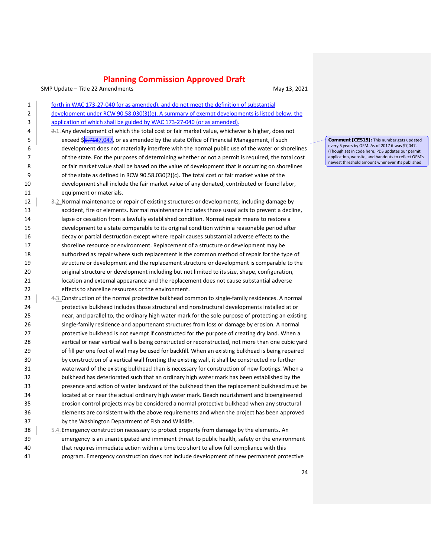SMP Update – Title 22 Amendments May 13, 2021

| 1  | forth in WAC 173-27-040 (or as amended), and do not meet the definition of substantial             |  |  |
|----|----------------------------------------------------------------------------------------------------|--|--|
| 2  | development under RCW 90.58.030(3)(e). A summary of exempt developments is listed below, the       |  |  |
| 3  | application of which shall be guided by WAC 173-27-040 (or as amended).                            |  |  |
| 4  | 2.1. Any development of which the total cost or fair market value, whichever is higher, does not   |  |  |
| 5  | exceed \$5,7187,047, or as amended by the state Office of Financial Management, if such            |  |  |
| 6  | development does not materially interfere with the normal public use of the water or shorelines    |  |  |
| 7  | of the state. For the purposes of determining whether or not a permit is required, the total cost  |  |  |
| 8  | or fair market value shall be based on the value of development that is occurring on shorelines    |  |  |
| 9  | of the state as defined in RCW 90.58.030(2)(c). The total cost or fair market value of the         |  |  |
| 10 | development shall include the fair market value of any donated, contributed or found labor,        |  |  |
| 11 | equipment or materials.                                                                            |  |  |
| 12 | 3-2. Normal maintenance or repair of existing structures or developments, including damage by      |  |  |
| 13 | accident, fire or elements. Normal maintenance includes those usual acts to prevent a decline,     |  |  |
| 14 | lapse or cessation from a lawfully established condition. Normal repair means to restore a         |  |  |
| 15 | development to a state comparable to its original condition within a reasonable period after       |  |  |
| 16 | decay or partial destruction except where repair causes substantial adverse effects to the         |  |  |
| 17 | shoreline resource or environment. Replacement of a structure or development may be                |  |  |
| 18 | authorized as repair where such replacement is the common method of repair for the type of         |  |  |
| 19 | structure or development and the replacement structure or development is comparable to the         |  |  |
| 20 | original structure or development including but not limited to its size, shape, configuration,     |  |  |
| 21 | location and external appearance and the replacement does not cause substantial adverse            |  |  |
| 22 | effects to shoreline resources or the environment.                                                 |  |  |
| 23 | 4.3. Construction of the normal protective bulkhead common to single-family residences. A normal   |  |  |
| 24 | protective bulkhead includes those structural and nonstructural developments installed at or       |  |  |
| 25 | near, and parallel to, the ordinary high water mark for the sole purpose of protecting an existing |  |  |
| 26 | single-family residence and appurtenant structures from loss or damage by erosion. A normal        |  |  |
| 27 | protective bulkhead is not exempt if constructed for the purpose of creating dry land. When a      |  |  |
| 28 | vertical or near vertical wall is being constructed or reconstructed, not more than one cubic yard |  |  |
| 29 | of fill per one foot of wall may be used for backfill. When an existing bulkhead is being repaired |  |  |
| 30 | by construction of a vertical wall fronting the existing wall, it shall be constructed no further  |  |  |
| 31 | waterward of the existing bulkhead than is necessary for construction of new footings. When a      |  |  |
| 32 | bulkhead has deteriorated such that an ordinary high water mark has been established by the        |  |  |
| 33 | presence and action of water landward of the bulkhead then the replacement bulkhead must be        |  |  |
| 34 | located at or near the actual ordinary high water mark. Beach nourishment and bioengineered        |  |  |
| 35 | erosion control projects may be considered a normal protective bulkhead when any structural        |  |  |
| 36 | elements are consistent with the above requirements and when the project has been approved         |  |  |
| 37 | by the Washington Department of Fish and Wildlife.                                                 |  |  |
| 38 | 5.4. Emergency construction necessary to protect property from damage by the elements. An          |  |  |
| 39 | emergency is an unanticipated and imminent threat to public health, safety or the environment      |  |  |
| 40 | that requires immediate action within a time too short to allow full compliance with this          |  |  |
| 41 | program. Emergency construction does not include development of new permanent protective           |  |  |

**Comment [CES15]:** This number gets updated<br>every 5 years by OFM. As of 2017 it was \$7,047.<br>(Though set in code here, PDS updates our permit<br>application, website, and handouts to reflect OFM's<br>newest threshold amount whene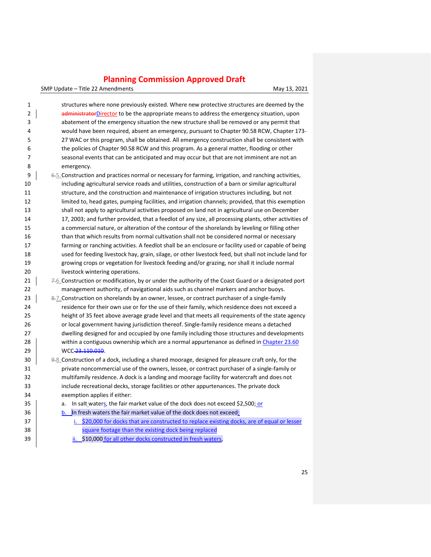SMP Update – Title 22 Amendments May 13, 2021

| 1  | structures where none previously existed. Where new protective structures are deemed by the            |
|----|--------------------------------------------------------------------------------------------------------|
| 2  | administratorDirector to be the appropriate means to address the emergency situation, upon             |
| 3  | abatement of the emergency situation the new structure shall be removed or any permit that             |
| 4  | would have been required, absent an emergency, pursuant to Chapter 90.58 RCW, Chapter 173-             |
| 5  | 27 WAC or this program, shall be obtained. All emergency construction shall be consistent with         |
| 6  | the policies of Chapter 90.58 RCW and this program. As a general matter, flooding or other             |
| 7  | seasonal events that can be anticipated and may occur but that are not imminent are not an             |
| 8  | emergency.                                                                                             |
| 9  | 6.5. Construction and practices normal or necessary for farming, irrigation, and ranching activities,  |
| 10 | including agricultural service roads and utilities, construction of a barn or similar agricultural     |
| 11 | structure, and the construction and maintenance of irrigation structures including, but not            |
| 12 | limited to, head gates, pumping facilities, and irrigation channels; provided, that this exemption     |
| 13 | shall not apply to agricultural activities proposed on land not in agricultural use on December        |
| 14 | 17, 2003; and further provided, that a feedlot of any size, all processing plants, other activities of |
| 15 | a commercial nature, or alteration of the contour of the shorelands by leveling or filling other       |
| 16 | than that which results from normal cultivation shall not be considered normal or necessary            |
| 17 | farming or ranching activities. A feedlot shall be an enclosure or facility used or capable of being   |
| 18 | used for feeding livestock hay, grain, silage, or other livestock feed, but shall not include land for |
| 19 | growing crops or vegetation for livestock feeding and/or grazing, nor shall it include normal          |
| 20 | livestock wintering operations.                                                                        |
| 21 | 7.6. Construction or modification, by or under the authority of the Coast Guard or a designated port   |
| 22 | management authority, of navigational aids such as channel markers and anchor buoys.                   |
| 23 | 8-7. Construction on shorelands by an owner, lessee, or contract purchaser of a single-family          |
| 24 | residence for their own use or for the use of their family, which residence does not exceed a          |
| 25 | height of 35 feet above average grade level and that meets all requirements of the state agency        |
| 26 | or local government having jurisdiction thereof. Single-family residence means a detached              |
| 27 | dwelling designed for and occupied by one family including those structures and developments           |
| 28 | within a contiguous ownership which are a normal appurtenance as defined in Chapter 23.60              |
| 29 | WCC-23.110.010.                                                                                        |
| 30 | 9-8. Construction of a dock, including a shared moorage, designed for pleasure craft only, for the     |
| 31 | private noncommercial use of the owners, lessee, or contract purchaser of a single-family or           |
| 32 | multifamily residence. A dock is a landing and moorage facility for watercraft and does not            |
| 33 | include recreational decks, storage facilities or other appurtenances. The private dock                |
| 34 | exemption applies if either:                                                                           |
| 35 | In salt_waters, the fair market value of the dock does not exceed \$2,500; or<br>a.                    |
| 36 | In fresh waters the fair market value of the dock does not exceed:<br>b.                               |
| 37 | \$20,000 for docks that are constructed to replace existing docks, are of equal or lesser              |
| 38 | square footage than the existing dock being replaced                                                   |
|    |                                                                                                        |

**ii.** \$10,000 for all other docks constructed in fresh waters,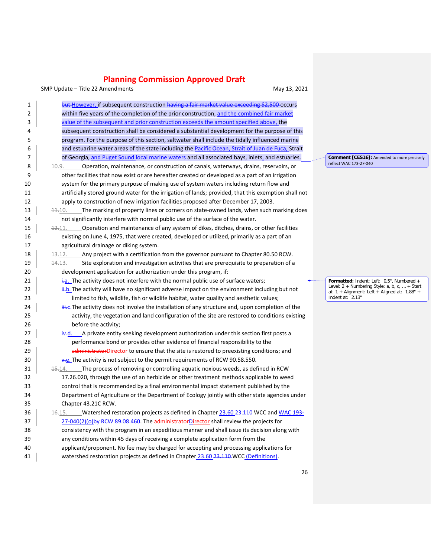SMP Update – Title 22 Amendments May 13, 2021

| 1  | but However, if subsequent construction having a fair market value exceeding \$2,500 occurs                   |  |  |  |  |  |
|----|---------------------------------------------------------------------------------------------------------------|--|--|--|--|--|
| 2  | within five years of the completion of the prior construction, and the combined fair market                   |  |  |  |  |  |
| 3  | value of the subsequent and prior construction exceeds the amount specified above, the                        |  |  |  |  |  |
| 4  | subsequent construction shall be considered a substantial development for the purpose of this                 |  |  |  |  |  |
| 5  | program. For the purpose of this section, saltwater shall include the tidally influenced marine               |  |  |  |  |  |
| 6  | and estuarine water areas of the state including the Pacific Ocean, Strait of Juan de Fuca, Strait            |  |  |  |  |  |
| 7  | of Georgia, and Puget Sound local marine waters and all associated bays, inlets, and estuaries.               |  |  |  |  |  |
| 8  | Operation, maintenance, or construction of canals, waterways, drains, reservoirs, or<br><del>10.</del> 9.     |  |  |  |  |  |
| 9  | other facilities that now exist or are hereafter created or developed as a part of an irrigation              |  |  |  |  |  |
| 10 | system for the primary purpose of making use of system waters including return flow and                       |  |  |  |  |  |
| 11 | artificially stored ground water for the irrigation of lands; provided, that this exemption shall not         |  |  |  |  |  |
| 12 | apply to construction of new irrigation facilities proposed after December 17, 2003.                          |  |  |  |  |  |
| 13 | The marking of property lines or corners on state-owned lands, when such marking does<br>$44 - 10.$           |  |  |  |  |  |
| 14 | not significantly interfere with normal public use of the surface of the water.                               |  |  |  |  |  |
| 15 | Operation and maintenance of any system of dikes, ditches, drains, or other facilities<br><u> 12.11.     </u> |  |  |  |  |  |
| 16 | existing on June 4, 1975, that were created, developed or utilized, primarily as a part of an                 |  |  |  |  |  |
| 17 | agricultural drainage or diking system.                                                                       |  |  |  |  |  |
| 18 | 13.12. Any project with a certification from the governor pursuant to Chapter 80.50 RCW.                      |  |  |  |  |  |
| 19 | Site exploration and investigation activities that are prerequisite to preparation of a<br><del>14.</del> 13. |  |  |  |  |  |
| 20 | development application for authorization under this program, if:                                             |  |  |  |  |  |
| 21 | $\frac{1}{2}$ . The activity does not interfere with the normal public use of surface waters;                 |  |  |  |  |  |
| 22 | ii.b. The activity will have no significant adverse impact on the environment including but not               |  |  |  |  |  |
| 23 | limited to fish, wildlife, fish or wildlife habitat, water quality and aesthetic values;                      |  |  |  |  |  |
| 24 | iii.c. The activity does not involve the installation of any structure and, upon completion of the            |  |  |  |  |  |
| 25 | activity, the vegetation and land configuration of the site are restored to conditions existing               |  |  |  |  |  |
| 26 | before the activity;                                                                                          |  |  |  |  |  |
| 27 | A private entity seeking development authorization under this section first posts a<br>₩.d.                   |  |  |  |  |  |
| 28 | performance bond or provides other evidence of financial responsibility to the                                |  |  |  |  |  |
| 29 | administratorDirector to ensure that the site is restored to preexisting conditions; and                      |  |  |  |  |  |
| 30 | $\frac{1}{2}$ . The activity is not subject to the permit requirements of RCW 90.58.550.                      |  |  |  |  |  |
| 31 | The process of removing or controlling aquatic noxious weeds, as defined in RCW<br><del>15.</del> 14.         |  |  |  |  |  |
| 32 | 17.26.020, through the use of an herbicide or other treatment methods applicable to weed                      |  |  |  |  |  |
| 33 | control that is recommended by a final environmental impact statement published by the                        |  |  |  |  |  |
| 34 | Department of Agriculture or the Department of Ecology jointly with other state agencies under                |  |  |  |  |  |
| 35 | Chapter 43.21C RCW.                                                                                           |  |  |  |  |  |
| 36 | Watershed restoration projects as defined in Chapter 23.60 23.110 WCC and WAC 193-<br><del>16.</del> 15.      |  |  |  |  |  |
| 37 | 27-040(2)(o)by RCW 89.08.460. The administratorDirector shall review the projects for                         |  |  |  |  |  |
| 38 | consistency with the program in an expeditious manner and shall issue its decision along with                 |  |  |  |  |  |
| 39 | any conditions within 45 days of receiving a complete application form from the                               |  |  |  |  |  |
| 40 | applicant/proponent. No fee may be charged for accepting and processing applications for                      |  |  |  |  |  |
| 41 | watershed restoration projects as defined in Chapter 23.60 23.110 WCC (Definitions).                          |  |  |  |  |  |

**Comment [CES16]:** Amended to more precisely reflect WAC 173-27-040

**Formatted:** Indent: Left: 0.5", Numbered +<br>Level: 2 + Numbering Style: a, b, c, ... + Start<br>at: 1 + Alignment: Left + Aligned at: 1.88" +<br>Indent at: 2.13"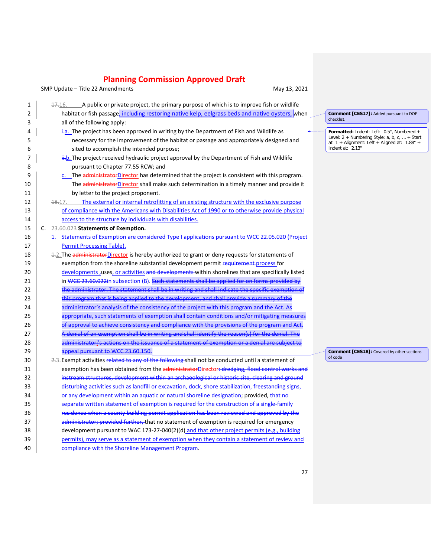| 1        | A public or private project, the primary purpose of which is to improve fish or wildlife<br><del>17.</del> 16.                                                                                          |                                                                                                  |
|----------|---------------------------------------------------------------------------------------------------------------------------------------------------------------------------------------------------------|--------------------------------------------------------------------------------------------------|
| 2        | habitat or fish passage, including restoring native kelp, eelgrass beds and native oysters, when                                                                                                        | Comment [CES17]: Added pursuant to DOE                                                           |
| 3        | all of the following apply:                                                                                                                                                                             | checklist.                                                                                       |
| 4        | $\frac{1}{2}$ a. The project has been approved in writing by the Department of Fish and Wildlife as                                                                                                     | Formatted: Indent: Left: 0.5", Numbered +                                                        |
| 5        | necessary for the improvement of the habitat or passage and appropriately designed and                                                                                                                  | Level: $2 +$ Numbering Style: a, b, c,  + Start<br>at: 1 + Alignment: Left + Aligned at: 1.88" + |
| 6        | sited to accomplish the intended purpose;                                                                                                                                                               | Indent at: 2.13"                                                                                 |
| 7        | ii.b. The project received hydraulic project approval by the Department of Fish and Wildlife                                                                                                            |                                                                                                  |
| 8        | pursuant to Chapter 77.55 RCW; and                                                                                                                                                                      |                                                                                                  |
| 9        | $c$ . The administrator Director has determined that the project is consistent with this program.                                                                                                       |                                                                                                  |
| 10       | The administratorDirector shall make such determination in a timely manner and provide it                                                                                                               |                                                                                                  |
| 11       | by letter to the project proponent.                                                                                                                                                                     |                                                                                                  |
| 12       | The external or internal retrofitting of an existing structure with the exclusive purpose<br>48.17.                                                                                                     |                                                                                                  |
| 13       | of compliance with the Americans with Disabilities Act of 1990 or to otherwise provide physical                                                                                                         |                                                                                                  |
| 14       | access to the structure by individuals with disabilities.                                                                                                                                               |                                                                                                  |
| 15       | C. 23.60.023 Statements of Exemption.                                                                                                                                                                   |                                                                                                  |
| 16       | 1. Statements of Exemption are considered Type I applications pursuant to WCC 22.05.020 (Project                                                                                                        |                                                                                                  |
| 17       | <b>Permit Processing Table).</b>                                                                                                                                                                        |                                                                                                  |
| 18       | 1.2. The administrator Director is hereby authorized to grant or deny requests for statements of                                                                                                        |                                                                                                  |
| 19       | exemption from the shoreline substantial development permit requirement process for                                                                                                                     |                                                                                                  |
| 20       | developments, uses, or activities and developments within shorelines that are specifically listed                                                                                                       |                                                                                                  |
| 21       | in WCC 23.60.022in subsection (B). Such statements shall be applied for on forms provided by                                                                                                            |                                                                                                  |
| 22       | the administrator. The statement shall be in writing and shall indicate the specific exemption of                                                                                                       |                                                                                                  |
| 23       | this program that is being applied to the development, and shall provide a summary of the                                                                                                               |                                                                                                  |
| 24       | administrator's analysis of the consistency of the project with this program and the Act. As                                                                                                            |                                                                                                  |
| 25       | appropriate, such statements of exemption shall contain conditions and/or mitigating measures                                                                                                           |                                                                                                  |
| 26       | of approval to achieve consistency and compliance with the provisions of the program and Act.                                                                                                           |                                                                                                  |
| 27       | A denial of an exemption shall be in writing and shall identify the reason(s) for the denial. The                                                                                                       |                                                                                                  |
| 28       | administratori's actions on the issuance of a statement of exemption or a denial are subject to                                                                                                         |                                                                                                  |
| 29       | appeal pursuant to WCC 23.60.150.                                                                                                                                                                       | Comment [CES18]: Covered by other sections<br>of code                                            |
| 30       | 2.3. Exempt activities related to any of the following shall not be conducted until a statement of                                                                                                      |                                                                                                  |
| 31       | exemption has been obtained from the administratorDirector+dredging, flood control works and                                                                                                            |                                                                                                  |
| 32       | instream structures, development within an archaeological or historic site, clearing and ground<br>disturbing activities such as landfill or excavation, dock, shore stabilization, freestanding signs, |                                                                                                  |
| 33       |                                                                                                                                                                                                         |                                                                                                  |
| 34       | or any development within an aquatic or natural shoreline designation; provided, that no<br>separate written statement of exemption is required for the construction of a single-family                 |                                                                                                  |
| 35       |                                                                                                                                                                                                         |                                                                                                  |
| 36<br>37 | residence when a county building permit application has been reviewed and approved by the                                                                                                               |                                                                                                  |
| 38       | administrator; provided further, that no statement of exemption is required for emergency                                                                                                               |                                                                                                  |
| 39       | development pursuant to WAC 173-27-040(2)(d) and that other project permits (e.g., building<br>permits), may serve as a statement of exemption when they contain a statement of review and              |                                                                                                  |
| 40       | compliance with the Shoreline Management Program.                                                                                                                                                       |                                                                                                  |
|          |                                                                                                                                                                                                         |                                                                                                  |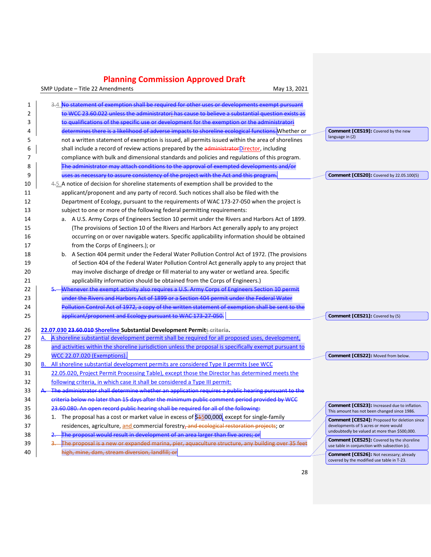|    | SMP Update - Title 22 Amendments<br>May 13, 2021                                                        |                                                                                              |
|----|---------------------------------------------------------------------------------------------------------|----------------------------------------------------------------------------------------------|
| 1  | 3.4. No statement of exemption shall be required for other uses or developments exempt pursuant         |                                                                                              |
| 2  | to WCC 23.60.022 unless the administratori has cause to believe a substantial question exists as        |                                                                                              |
| 3  | to qualifications of the specific use or development for the exemption or the administratori            |                                                                                              |
| 4  | determines there is a likelihood of adverse impacts to shoreline ecological functions. Whether or       | Comment [CES19]: Covered by the new                                                          |
| 5  | not a written statement of exemption is issued, all permits issued within the area of shorelines        | language in (2)                                                                              |
| 6  | shall include a record of review actions prepared by the administratorDirector, including               |                                                                                              |
| 7  | compliance with bulk and dimensional standards and policies and regulations of this program.            |                                                                                              |
| 8  | The administrator may attach conditions to the approval of exempted developments and/or                 |                                                                                              |
| 9  | uses as necessary to assure consistency of the project with the Act and this program.                   | Comment [CES20]: Covered by 22.05.100(5)                                                     |
| 10 | 4.5. A notice of decision for shoreline statements of exemption shall be provided to the                |                                                                                              |
| 11 | applicant/proponent and any party of record. Such notices shall also be filed with the                  |                                                                                              |
| 12 | Department of Ecology, pursuant to the requirements of WAC 173-27-050 when the project is               |                                                                                              |
| 13 | subject to one or more of the following federal permitting requirements:                                |                                                                                              |
| 14 | a. A U.S. Army Corps of Engineers Section 10 permit under the Rivers and Harbors Act of 1899.           |                                                                                              |
| 15 | (The provisions of Section 10 of the Rivers and Harbors Act generally apply to any project              |                                                                                              |
| 16 | occurring on or over navigable waters. Specific applicability information should be obtained            |                                                                                              |
| 17 | from the Corps of Engineers.); or                                                                       |                                                                                              |
| 18 | b. A Section 404 permit under the Federal Water Pollution Control Act of 1972. (The provisions          |                                                                                              |
| 19 | of Section 404 of the Federal Water Pollution Control Act generally apply to any project that           |                                                                                              |
| 20 | may involve discharge of dredge or fill material to any water or wetland area. Specific                 |                                                                                              |
| 21 | applicability information should be obtained from the Corps of Engineers.)                              |                                                                                              |
| 22 | Whenever the exempt activity also requires a U.S. Army Corps of Engineers Section 10 permit             |                                                                                              |
| 23 | under the Rivers and Harbors Act of 1899 or a Section 404 permit under the Federal Water                |                                                                                              |
| 24 | Pollution Control Act of 1972, a copy of the written statement of exemption shall be sent to the        |                                                                                              |
| 25 | applicant/proponent and Ecology pursuant to WAC 173-27-050.                                             | Comment [CES21]: Covered by (5)                                                              |
| 26 | 22.07.030 23.60.010 Shoreline Substantial Development Permits-criteria.                                 |                                                                                              |
| 27 | A shoreline substantial development permit shall be required for all proposed uses, development,        |                                                                                              |
| 28 | and activities within the shoreline jurisdiction unless the proposal is specifically exempt pursuant to |                                                                                              |
| 29 | <b>WCC 22.07.020 (Exemptions).</b>                                                                      | Comment [CES22]: Moved from below.                                                           |
| 30 | All shoreline substantial development permits are considered Type II permits (see WCC<br>В.             |                                                                                              |
| 31 | 22.05.020, Project Permit Processing Table), except those the Director has determined meets the         |                                                                                              |
| 32 | following criteria, in which case it shall be considered a Type III permit:                             |                                                                                              |
| 33 | The administrator shall determine whether an application requires a public hearing pursuant to the      |                                                                                              |
| 34 | criteria below no later than 15 days after the minimum public comment period provided by WCC            |                                                                                              |
| 35 | 23.60.080. An open record public hearing shall be required for all of the following:                    | Comment [CES23]: Increased due to inflation.<br>This amount has not been changed since 1986. |
| 36 | 1. The proposal has a cost or market value in excess of \$4500,000, except for single-family            | <b>Comment [CES24]: Proposed for deletion since</b>                                          |
| 37 | residences, agriculture, and commercial forestry <sub>z</sub> and ecological restoration projects; or   | developments of 5 acres or more would<br>undoubtedly be valued at more than \$500,000.       |
| 38 | The proposal would result in development of an area larger than five acres; or                          | <b>Comment [CES25]:</b> Covered by the shoreline                                             |
| 39 | The proposal is a new or expanded marina, pier, aquaculture structure, any building over 35 feet        | use table in conjunction with subsection (c).                                                |
| 40 | high, mine, dam, stream diversion, landfill; or                                                         | Comment [CES26]: Not necessary; already<br>covered by the modified use table in T-23.        |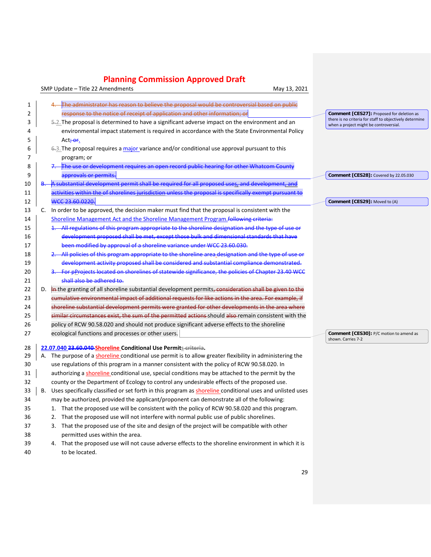|          |    | SMP Update - Title 22 Amendments<br>May 13, 2021                                                                      |                                                                                                      |
|----------|----|-----------------------------------------------------------------------------------------------------------------------|------------------------------------------------------------------------------------------------------|
|          |    | The administrator has reason to believe the proposal would be controversial based on public                           |                                                                                                      |
| 1        |    | response to the notice of receipt of application and other information; or                                            |                                                                                                      |
| 2        |    | 5-2. The proposal is determined to have a significant adverse impact on the environment and an                        | Comment [CES27]: Proposed for deletion as<br>there is no criteria for staff to objectively determine |
| 3        |    |                                                                                                                       | when a project might be controversial.                                                               |
| 4        |    | environmental impact statement is required in accordance with the State Environmental Policy                          |                                                                                                      |
| 5        |    | Act <del>; or</del> .                                                                                                 |                                                                                                      |
| 6        |    | 6.3. The proposal requires a major variance and/or conditional use approval pursuant to this                          |                                                                                                      |
| 7        |    | program; or                                                                                                           |                                                                                                      |
| 8        |    | The use or development requires an open record public hearing for other Whatcom County                                |                                                                                                      |
| 9        |    | approvals or permits.                                                                                                 | Comment [CES28]: Covered by 22.05.030                                                                |
| 10       |    | <mark>A substantial development permit shall be required for all proposed uses, and development, and</mark>           |                                                                                                      |
| 11       |    | activities within the of shorelines jurisdiction unless the proposal is specifically exempt pursuant to               |                                                                                                      |
| 12       |    | WCC 23,60,0220.                                                                                                       | Comment [CES29]: Moved to (A)                                                                        |
| 13       |    | In order to be approved, the decision maker must find that the proposal is consistent with the                        |                                                                                                      |
| 14       |    | Shoreline Management Act and the Shoreline Management Program following criteria:                                     |                                                                                                      |
| 15       |    | All regulations of this program appropriate to the shoreline designation and the type of use or                       |                                                                                                      |
| 16       |    | development proposed shall be met, except those bulk and dimensional standards that have                              |                                                                                                      |
| 17       |    | been modified by approval of a shoreline variance under WCC 23.60.030.                                                |                                                                                                      |
| 18       |    | All policies of this program appropriate to the shoreline area designation and the type of use or                     |                                                                                                      |
| 19       |    | development activity proposed shall be considered and substantial compliance demonstrated.                            |                                                                                                      |
| 20       |    | For pProjects located on shorelines of statewide significance, the policies of Chapter 23.40 WCC                      |                                                                                                      |
| 21       |    | shall also be adhered to.                                                                                             |                                                                                                      |
| 22       | D. | In the granting of all shoreline substantial development permits, consideration shall be given to the                 |                                                                                                      |
| 23       |    | cumulative environmental impact of additional requests for like actions in the area. For example, if                  |                                                                                                      |
| 24       |    | shoreline substantial development permits were granted for other developments in the area where                       |                                                                                                      |
| 25       |    | similar circumstances exist, the sum of the permitted actions should also-remain consistent with the                  |                                                                                                      |
| 26       |    | policy of RCW 90.58.020 and should not produce significant adverse effects to the shoreline                           |                                                                                                      |
| 27       |    | ecological functions and processes or other users.                                                                    | Comment [CES30]: P/C motion to amend as                                                              |
|          |    |                                                                                                                       | shown. Carries 7-2                                                                                   |
| 28       |    | 22.07.040 23.60.040 Shoreline Conditional Use Permits-eriteria.                                                       |                                                                                                      |
| 29       | А. | The purpose of a shoreline conditional use permit is to allow greater flexibility in administering the                |                                                                                                      |
| 30       |    | use regulations of this program in a manner consistent with the policy of RCW 90.58.020. In                           |                                                                                                      |
| 31       |    | authorizing a shoreline conditional use, special conditions may be attached to the permit by the                      |                                                                                                      |
| 32       |    | county or the Department of Ecology to control any undesirable effects of the proposed use.                           |                                                                                                      |
| 33       | В. | Uses specifically classified or set forth in this program as shoreline conditional uses and unlisted uses             |                                                                                                      |
| 34       |    | may be authorized, provided the applicant/proponent can demonstrate all of the following:                             |                                                                                                      |
| 35       |    | 1. That the proposed use will be consistent with the policy of RCW 90.58.020 and this program.                        |                                                                                                      |
| 36       |    | That the proposed use will not interfere with normal public use of public shorelines.<br>2.                           |                                                                                                      |
| 37       |    | That the proposed use of the site and design of the project will be compatible with other<br>3.                       |                                                                                                      |
| 38       |    | permitted uses within the area.                                                                                       |                                                                                                      |
| 39<br>40 |    | 4. That the proposed use will not cause adverse effects to the shoreline environment in which it is<br>to be located. |                                                                                                      |
|          |    |                                                                                                                       |                                                                                                      |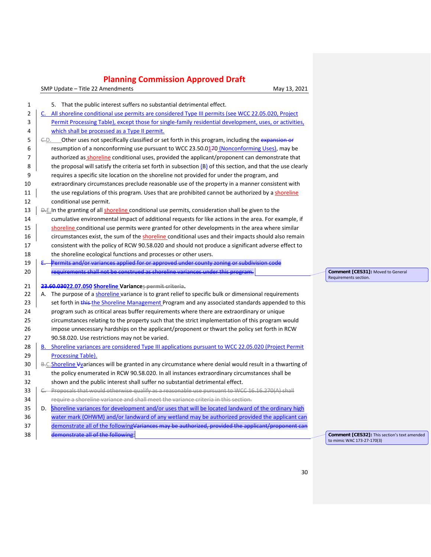SMP Update – Title 22 Amendments May 13, 2021

| 1  | 5. That the public interest suffers no substantial detrimental effect.                                              |  |
|----|---------------------------------------------------------------------------------------------------------------------|--|
| 2  | C. All shoreline conditional use permits are considered Type III permits (see WCC 22.05.020, Project                |  |
| 3  | Permit Processing Table), except those for single-family residential development, uses, or activities,              |  |
| 4  | which shall be processed as a Type II permit.                                                                       |  |
| 5  | Other uses not specifically classified or set forth in this program, including the expansion or<br><del>C.</del> D. |  |
| 6  | resumption of a nonconforming use pursuant to WCC 23.50.0170 (Nonconforming Uses), may be                           |  |
| 7  | authorized as shoreline conditional uses, provided the applicant/proponent can demonstrate that                     |  |
| 8  | the proposal will satisfy the criteria set forth in subsection $(B)$ of this section, and that the use clearly      |  |
| 9  | requires a specific site location on the shoreline not provided for under the program, and                          |  |
| 10 | extraordinary circumstances preclude reasonable use of the property in a manner consistent with                     |  |
| 11 | the use regulations of this program. Uses that are prohibited cannot be authorized by a shoreline                   |  |
| 12 | conditional use permit.                                                                                             |  |
| 13 | D.E. In the granting of all shoreline conditional use permits, consideration shall be given to the                  |  |
| 14 | cumulative environmental impact of additional requests for like actions in the area. For example, if                |  |
| 15 | shoreline conditional use permits were granted for other developments in the area where similar                     |  |
| 16 | circumstances exist, the sum of the shoreline conditional uses and their impacts should also remain                 |  |
| 17 | consistent with the policy of RCW 90.58.020 and should not produce a significant adverse effect to                  |  |
| 18 | the shoreline ecological functions and processes or other users.                                                    |  |
| 19 | Permits and/or variances applied for or approved under county zoning or subdivision code                            |  |
| 20 | requirements shall not be construed as shoreline variances under this program.                                      |  |
| 21 | 23.60.03022.07.050 Shoreline Variances-permit criteria.                                                             |  |
| 22 | The purpose of a shoreline variance is to grant relief to specific bulk or dimensional requirements<br>А.           |  |
| 23 | set forth in this the Shoreline Management Program and any associated standards appended to this                    |  |
| 24 | program such as critical areas buffer requirements where there are extraordinary or unique                          |  |
| 25 | circumstances relating to the property such that the strict implementation of this program would                    |  |
| 26 | impose unnecessary hardships on the applicant/proponent or thwart the policy set forth in RCW                       |  |
| 27 | 90.58.020. Use restrictions may not be varied.                                                                      |  |
| 28 | B. Shoreline variances are considered Type III applications pursuant to WCC 22.05.020 (Project Permit               |  |
| 29 | <b>Processing Table).</b>                                                                                           |  |
| 30 | B.C. Shoreline Yvariances will be granted in any circumstance where denial would result in a thwarting of           |  |
| 31 | the policy enumerated in RCW 90.58.020. In all instances extraordinary circumstances shall be                       |  |
| 32 | shown and the public interest shall suffer no substantial detrimental effect.                                       |  |
| 33 | C. Proposals that would otherwise qualify as a reasonable use pursuant to WCC 16.16.270(A) shall                    |  |
| 34 | require a shoreline variance and shall meet the variance criteria in this section.                                  |  |
|    |                                                                                                                     |  |
| 35 | Shoreline variances for development and/or uses that will be located landward of the ordinary high<br>D.            |  |
| 36 | water mark (OHWM) and/or landward of any wetland may be authorized provided the applicant can                       |  |
| 37 | demonstrate all of the followingVariances may be authorized, provided the applicant/proponent can                   |  |
| 38 | demonstrate all of the following:                                                                                   |  |

**Comment [CES31]:** Moved to General Requirements section.

**Comment [CES32]:** This section's text amended to mimic WAC 173-27-170(3)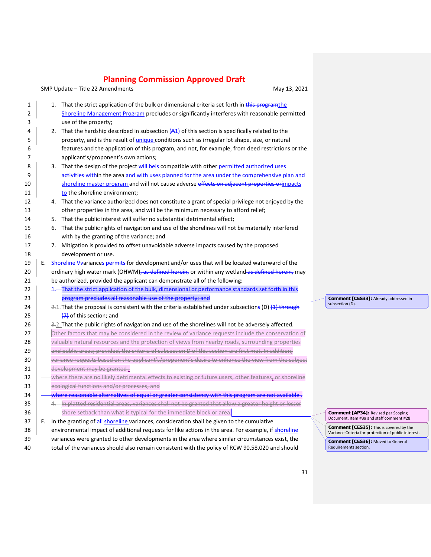SMP Update – Title 22 Amendments May 13, 2021

| 1  |    | 1. | That the strict application of the bulk or dimensional criteria set forth in this programthe            |  |  |
|----|----|----|---------------------------------------------------------------------------------------------------------|--|--|
| 2  |    |    | Shoreline Management Program precludes or significantly interferes with reasonable permitted            |  |  |
| 3  |    |    | use of the property;                                                                                    |  |  |
| 4  |    |    | 2. That the hardship described in subsection $[A_1]$ of this section is specifically related to the     |  |  |
| 5  |    |    | property, and is the result of <i>unique</i> conditions such as irregular lot shape, size, or natural   |  |  |
| 6  |    |    | features and the application of this program, and not, for example, from deed restrictions or the       |  |  |
| 7  |    |    | applicant's/proponent's own actions;                                                                    |  |  |
| 8  |    |    | 3. That the design of the project will beis compatible with other permitted authorized uses             |  |  |
| 9  |    |    | activities within the area and with uses planned for the area under the comprehensive plan and          |  |  |
| 10 |    |    | shoreline master program and will not cause adverse effects on adjacent properties or impacts           |  |  |
| 11 |    |    | to the shoreline environment;                                                                           |  |  |
| 12 |    |    | 4. That the variance authorized does not constitute a grant of special privilege not enjoyed by the     |  |  |
| 13 |    |    | other properties in the area, and will be the minimum necessary to afford relief;                       |  |  |
| 14 |    | 5. | That the public interest will suffer no substantial detrimental effect;                                 |  |  |
| 15 |    | 6. | That the public rights of navigation and use of the shorelines will not be materially interfered        |  |  |
| 16 |    |    | with by the granting of the variance; and                                                               |  |  |
| 17 |    | 7. | Mitigation is provided to offset unavoidable adverse impacts caused by the proposed                     |  |  |
| 18 |    |    | development or use.                                                                                     |  |  |
| 19 | Ε. |    | Shoreline Vyariances permits for development and/or uses that will be located waterward of the          |  |  |
| 20 |    |    | ordinary high water mark (OHWM), as defined herein, or within any wetland as defined herein, may        |  |  |
| 21 |    |    | be authorized, provided the applicant can demonstrate all of the following:                             |  |  |
| 22 |    |    | 1. That the strict application of the bulk, dimensional or performance standards set forth in this      |  |  |
| 23 |    |    | program precludes all reasonable use of the property; and                                               |  |  |
| 24 |    |    | 2.1 That the proposal is consistent with the criteria established under subsections (D) (1) through     |  |  |
| 25 |    |    | $\left\langle \frac{1}{2} \right\rangle$ of this section; and                                           |  |  |
| 26 |    |    | 3-2. That the public rights of navigation and use of the shorelines will not be adversely affected.     |  |  |
| 27 |    |    | Other factors that may be considered in the review of variance requests include the conservation of     |  |  |
| 28 |    |    | valuable natural resources and the protection of views from nearby roads, surrounding properties        |  |  |
| 29 |    |    | and public areas; provided, the criteria of subsection D of this section are first met. In addition,    |  |  |
| 30 |    |    | variance requests based on the applicant's/proponent's desire to enhance the view from the subject      |  |  |
| 31 |    |    | development may be granted;                                                                             |  |  |
| 32 |    |    | where there are no likely detrimental effects to existing or future users, other features, or shoreline |  |  |
| 33 |    |    | ecological functions and/or processes, and                                                              |  |  |
| 34 |    |    | where reasonable alternatives of equal or greater consistency with this program are not available.      |  |  |
| 35 |    |    | 4. In platted residential areas, variances shall not be granted that allow a greater height or lesser   |  |  |
| 36 |    |    | shore setback than what is typical for the immediate block or area.                                     |  |  |
| 37 | F. |    | In the granting of all-shoreline variances, consideration shall be given to the cumulative              |  |  |
| 38 |    |    | environmental impact of additional requests for like actions in the area. For example, if shoreline     |  |  |
| 39 |    |    | variances were granted to other developments in the area where similar circumstances exist, the         |  |  |
| 40 |    |    | total of the variances should also remain consistent with the policy of RCW 90.58.020 and should        |  |  |

**Comment [CES33]:** Already addressed in subsection (D).

**Comment [AP34]:** Revised per Scoping Document, Item #3a and staff comment #28 **Comment [CES35]:** This is covered by the

Variance Criteria for protection of public interest.

**Comment [CES36]:** Moved to General Requirements section.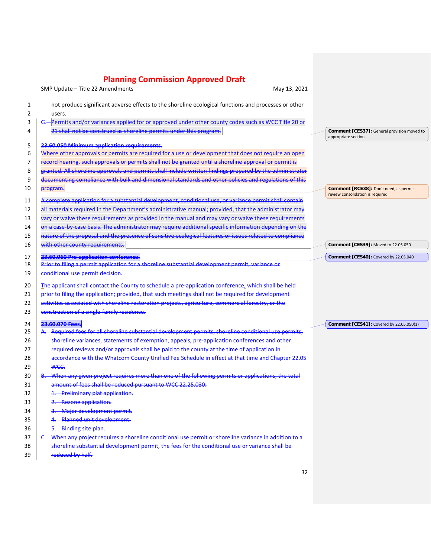|        | <b>Planning Commission Approved Draft</b>                                                                      |                                                                            |
|--------|----------------------------------------------------------------------------------------------------------------|----------------------------------------------------------------------------|
|        | SMP Update - Title 22 Amendments<br>May 13, 2021                                                               |                                                                            |
| 1<br>2 | not produce significant adverse effects to the shoreline ecological functions and processes or other<br>users. |                                                                            |
| 3      | Permits and/or variances applied for or approved under other county codes such as WCC Title 20 or              |                                                                            |
| 4      | 21 shall not be construed as shoreline permits under this program.                                             | Comment [CES37]: General provision moved to<br>appropriate section.        |
| 5      | 23.60.050 Minimum application requirements.                                                                    |                                                                            |
| 6      | Where other approvals or permits are required for a use or development that does not require an open           |                                                                            |
| 7      | record hearing, such approvals or permits shall not be granted until a shoreline approval or permit is         |                                                                            |
| 8      | granted. All shoreline approvals and permits shall include written findings prepared by the administrator      |                                                                            |
| 9      | documenting compliance with bulk and dimensional standards and other policies and regulations of this          |                                                                            |
| 10     | program.                                                                                                       | Comment [RCE38]: Don't need, as permit<br>review consolidation is required |
| 11     | A complete application for a substantial development, conditional use, or variance permit shall contain        |                                                                            |
| 12     | all materials required in the Department's administrative manual; provided, that the administrator may         |                                                                            |
| 13     | vary or waive these requirements as provided in the manual and may vary or waive these requirements            |                                                                            |
| 14     | on a case-by-case basis. The administrator may require additional specific information depending on the        |                                                                            |
| 15     | nature of the proposal and the presence of sensitive ecological features or issues related to compliance       |                                                                            |
| 16     | with other county requirements.                                                                                | Comment [CES39]: Moved to 22.05.050                                        |
| 17     | 23.60.060 Pre application conference.                                                                          | Comment [CES40]: Covered by 22.05.040                                      |
| 18     | Prior to filing a permit application for a shoreline substantial development permit, variance or               |                                                                            |
| 19     | conditional use permit decision.                                                                               |                                                                            |
| 20     | The applicant shall contact the County to schedule a pre-application conference, which shall be held           |                                                                            |
| 21     | prior to filing the application; provided, that such meetings shall not be required for development            |                                                                            |
| 22     | activities associated with shoreline restoration projects, agriculture, commercial forestry, or the            |                                                                            |
| 23     | construction of a single-family residence.                                                                     |                                                                            |
| 24     | 23.60.070 Fees                                                                                                 | <b>Comment [CES41]:</b> Covered by 22.05.050(1)                            |
| 25     | Required fees for all shoreline substantial development permits, shoreline conditional use permits,<br>А.      |                                                                            |
| 26     | shoreline variances, statements of exemption, appeals, pre-application conferences and other                   |                                                                            |
| 27     | required reviews and/or approvals shall be paid to the county at the time of application in                    |                                                                            |
| 28     | accordance with the Whatcom County Unified Fee Schedule in effect at that time and Chapter 22.05               |                                                                            |
| 29     | WCC.                                                                                                           |                                                                            |
| 30     | When any given project requires more than one of the following permits or applications, the total              |                                                                            |
| 31     | amount of fees shall be reduced pursuant to WCC 22.25.030:                                                     |                                                                            |
| 32     | Preliminary plat application.                                                                                  |                                                                            |
| 33     | Rezone application.                                                                                            |                                                                            |
| 34     | Major development permit.                                                                                      |                                                                            |
| 35     | Planned unit development.                                                                                      |                                                                            |
| 36     | 5. Binding site plan.                                                                                          |                                                                            |
| 37     | C. When any project requires a shoreline conditional use permit or shoreline variance in addition to a         |                                                                            |
| 38     | shoreline substantial development permit, the fees for the conditional use or variance shall be                |                                                                            |
| 39     | reduced by half.                                                                                               |                                                                            |
|        |                                                                                                                |                                                                            |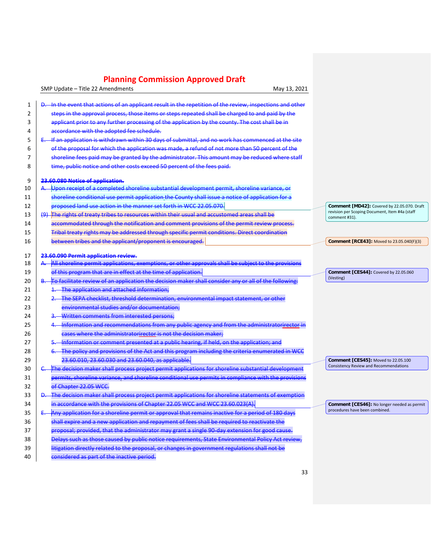|                | May 13, 2021<br>SMP Update - Title 22 Amendments                                                              |                                                               |
|----------------|---------------------------------------------------------------------------------------------------------------|---------------------------------------------------------------|
| 1              | In the event that actions of an applicant result in the repetition of the review, inspections and other<br>Ð. |                                                               |
| $\overline{2}$ | steps in the approval process, those items or steps repeated shall be charged to and paid by the              |                                                               |
| 3              | applicant prior to any further processing of the application by the county. The cost shall be in              |                                                               |
| 4              | accordance with the adopted fee schedule.                                                                     |                                                               |
| 5              | If an application is withdrawn within 30 days of submittal, and no work has commenced at the site             |                                                               |
| 6              | of the proposal for which the application was made, a refund of not more than 50 percent of the               |                                                               |
| 7              | shoreline fees paid may be granted by the administrator. This amount may be reduced where staff               |                                                               |
| 8              | time, public notice and other costs exceed 50 percent of the fees paid.                                       |                                                               |
| 9              | 23.60.080 Notice of application.                                                                              |                                                               |
| 10             | Upon receipt of a completed shoreline substantial development permit, shoreline variance, or                  |                                                               |
| 11             | shoreline conditional use permit application the County shall issue a notice of application for a             |                                                               |
| 12             | proposed land use action in the manner set forth in WCC 22.05.070.                                            | Comment [MD42]: Covered by 22.05.070                          |
| 13             | (9) The rights of treaty tribes to resources within their usual and accustomed areas shall be                 | revision per Scoping Document, Item #4a (sta<br>comment #31). |
| 14             | accommodated through the notification and comment provisions of the permit review process.                    |                                                               |
| 15             | Tribal treaty rights may be addressed through specific permit conditions. Direct coordination                 |                                                               |
| 16             | between tribes and the applicant/proponent is encouraged.                                                     | Comment [RCE43]: Moved to 23.05.040                           |
| 17             | 23.60.090 Permit application review.                                                                          |                                                               |
| 18             | All shoreline permit applications, exemptions, or other approvals shall be subject to the provisions          |                                                               |
| 19             | of this program that are in effect at the time of application.                                                | Comment [CES44]: Covered by 22.05.06                          |
| 20             | To facilitate review of an application the decision maker shall consider any or all of the following:<br>₽.   | (Vesting)                                                     |
| 21             | The application and attached information;                                                                     |                                                               |
| 22             | The SEPA checklist, threshold determination, environmental impact statement, or other                         |                                                               |
| 23             | environmental studies and/or documentation:                                                                   |                                                               |
| 24             | Written comments from interested persons;                                                                     |                                                               |
| 25             | Information and recommendations from any public agency and from the administratorirector in                   |                                                               |
| 26             | cases where the administratorirector is not the decision maker;                                               |                                                               |
| 27             | Information or comment presented at a public hearing, if held, on the application; and                        |                                                               |
| 28             | The policy and provisions of the Act and this program including the criteria enumerated in WCC                |                                                               |
| 29             | 23.60.010, 23.60.030 and 23.60.040, as applicable.                                                            | Comment [CES45]: Moved to 22.05.100                           |
| 30             | The decision maker shall process project permit applications for shoreline substantial development            | Consistency Review and Recommendations                        |
| 31             | permits, shoreline variance, and shoreline conditional use permits in compliance with the provisions          |                                                               |
| 32             | of Chapter 22.05 WCC.                                                                                         |                                                               |
| 33             | The decision maker shall process project permit applications for shoreline statements of exemption            |                                                               |
| 34             | in accordance with the provisions of Chapter 22.05 WCC and WCC 23.60.023(A).                                  | Comment [CES46]: No longer needed as                          |
| 35             | Any application for a shoreline permit or approval that remains inactive for a period of 180 days             | procedures have been combined.                                |
| 36             | shall expire and a new application and repayment of fees shall be required to reactivate the                  |                                                               |
| 37             | proposal; provided, that the administrator may grant a single 90-day extension for good cause.                |                                                               |
| 38             | Delays such as those caused by public notice requirements, State Environmental Policy Act review,             |                                                               |
| 39             | litigation directly related to the proposal, or changes in government regulations shall not be                |                                                               |
| 40             |                                                                                                               |                                                               |
|                | considered as part of the inactive period.                                                                    |                                                               |

**ment [MD42]:** Covered by 22.05.070. Draft revision per Scoping Document, Item #4a (staff comment #31).

**ment [RCE43]:** Moved to 23.05.040(F)(3)

**ment [CES44]:** Covered by 22.05.060  $ng)$ 

**ment [CES46]:** No longer needed as permit dures have been combined.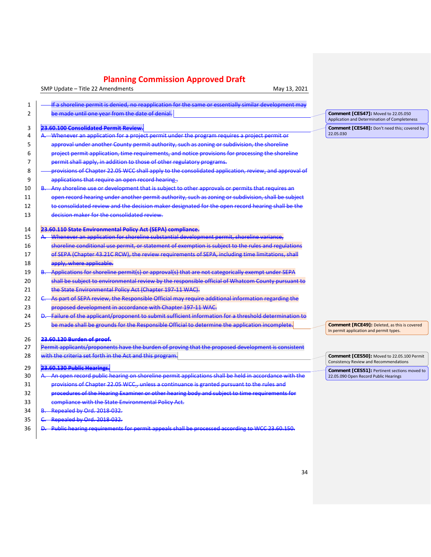|                | SMP Update - Title 22 Amendments                                                                                | May 13, 2021 |
|----------------|-----------------------------------------------------------------------------------------------------------------|--------------|
| 1              | If a shoreline permit is denied, no reapplication for the same or essentially similar development may           |              |
| $\mathfrak{p}$ | be made until one year from the date of denial.                                                                 |              |
| 3              | 23.60.100 Consolidated Permit Review.                                                                           |              |
| 4              | A. Whenever an application for a project permit under the program requires a project permit or                  |              |
| 5              | approval under another County permit authority, such as zoning or subdivision, the shoreline                    |              |
| 6              | project permit application, time requirements, and notice provisions for processing the shoreline               |              |
| 7              | permit shall apply, in addition to those of other regulatory programs.                                          |              |
| 8              | provisions of Chapter 22.05 WCC shall apply to the consolidated application, review, and approval of            |              |
| 9              | applications that require an open record hearing.                                                               |              |
| 10             | B. Any shoreline use or development that is subject to other approvals or permits that                          |              |
| 11             | open record hearing under another permit authority, such as zoning or subdivision, shall be subject             |              |
| 12             | to consolidated review and the decision maker designated for the open record hearing shall be the               |              |
| 13             | decision maker for the consolidated review.                                                                     |              |
|                |                                                                                                                 |              |
| 14             | 23.60.110 State Environmental Policy Act (SEPA) compliance.                                                     |              |
| 15             | A. Whenever an application for shoreline substantial development permit, shoreline variance,                    |              |
| 16             | shoreline conditional use permit, or statement of exemption is subject to the rules and regulations             |              |
| 17             | of SEPA (Chapter 43.21C RCW), the review requirements of SEPA, including time limitations, shall                |              |
| 18             | apply, where applicable.                                                                                        |              |
| 19             | B. Applications for shoreline permit(s) or approval(s) that are not categorically exempt under SEPA             |              |
| 20             | shall be subject to environmental review by the responsible official of Whatcom County pursuant to              |              |
| 21             | the State Environmental Policy Act (Chapter 197-11 WAC).                                                        |              |
| 22             | As part of SEPA review, the Responsible Official may require additional information regarding the<br>$\epsilon$ |              |
| 23             | proposed development in accordance with Chapter 197-11 WAC.                                                     |              |
| 24             | D. Failure of the applicant/proponent to submit sufficient information for a threshold determination to         |              |
| 25             | be made shall be grounds for the Responsible Official to determine the application incomplete.                  |              |
| 26             | 23.60.120 Burden of proof.                                                                                      |              |
| 27             | Permit applicants/proponents have the burden of proving that the proposed development is consistent             |              |
| 28             | with the criteria set forth in the Act and this program.                                                        |              |
| 29             | 23.60.130 Public Hearings.                                                                                      |              |
| 30             | An open record public hearing on shoreline permit applications shall be held in accordance with the<br>А.       |              |
| 31             | provisions of Chapter 22.05 WCC., unless a continuance is granted pursuant to the rules and                     |              |
| 32             | procedures of the Hearing Examiner or other hearing body and subject to time requirements for                   |              |
| 33             | compliance with the State Environmental Policy Act.                                                             |              |
| 34             | B. Repealed by Ord. 2018 032.                                                                                   |              |
| 35             | C. Repealed by Ord. 2018-032.                                                                                   |              |
| 36             | D. Public hearing requirements for permit appeals shall be processed according to WCC 23.60.150.                |              |

**Comment [CES47]:** Moved to 22.05.050 Application and Determination of Completeness **Comment [CES48]:** Don't need this; covered by 22.05.030

**Comment [RCE49]:** Deleted, as this is covered In permit application and permit types.

**Comment [CES50]:** Moved to 22.05.100 Permit Consistency Review and Recommendations

**Comment [CES51]:** Pertinent sections moved to 22.05.090 Open Record Public Hearings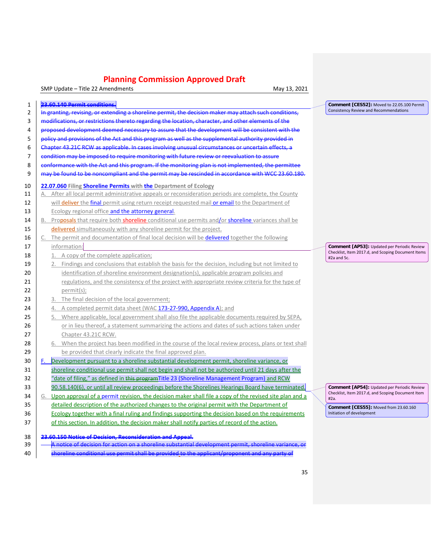| 1              | 23.60.140 Permit conditions.                                                                                  | Comment [CES52]: Moved to 22.05.100 Permit<br><b>Consistency Review and Recommendations</b> |
|----------------|---------------------------------------------------------------------------------------------------------------|---------------------------------------------------------------------------------------------|
| $\overline{2}$ | In granting, revising, or extending a shoreline permit, the decision maker may attach such conditions,        |                                                                                             |
| 3              | modifications, or restrictions thereto regarding the location, character, and other elements of the           |                                                                                             |
| 4              | proposed development deemed necessary to assure that the development will be consistent with the              |                                                                                             |
| 5              | policy and provisions of the Act and this program as well as the supplemental authority provided in           |                                                                                             |
| 6              | Chapter 43.21C RCW as applicable. In cases involving unusual circumstances or uncertain effects, a            |                                                                                             |
| 7              | condition may be imposed to require monitoring with future review or reevaluation to assure                   |                                                                                             |
| 8              | conformance with the Act and this program. If the monitoring plan is not implemented, the permittee           |                                                                                             |
| 9              | may be found to be noncompliant and the permit may be rescinded in accordance with WCC 23.60.180.             |                                                                                             |
| 10             | 22.07.060 Filing Shoreline Permits with the Department of Ecology                                             |                                                                                             |
| 11             | After all local permit administrative appeals or reconsideration periods are complete, the County<br>А.       |                                                                                             |
| 12             | will deliver the final permit using return receipt requested mail or email to the Department of               |                                                                                             |
| 13             | Ecology regional office and the attorney general.                                                             |                                                                                             |
| 14             | Proposals that require both shoreline conditional use permits and/or shoreline variances shall be<br>В.       |                                                                                             |
| 15             | delivered simultaneously with any shoreline permit for the project.                                           |                                                                                             |
| 16             | C. The permit and documentation of final local decision will be delivered together the following              |                                                                                             |
| 17             | information:                                                                                                  | Comment [AP53]: Updated per Periodic Review                                                 |
| 18             | 1. A copy of the complete application;                                                                        | Checklist, Item 2017.d, and Scoping Document Items                                          |
| 19             | Findings and conclusions that establish the basis for the decision, including but not limited to              | #2a and 5c.                                                                                 |
| 20             | identification of shoreline environment designation(s), applicable program policies and                       |                                                                                             |
| 21             | regulations, and the consistency of the project with appropriate review criteria for the type of              |                                                                                             |
| 22             | permits);                                                                                                     |                                                                                             |
| 23             | 3. The final decision of the local government;                                                                |                                                                                             |
| 24             | A completed permit data sheet (WAC 173-27-990, Appendix A); and<br>4.                                         |                                                                                             |
| 25             | 5. Where applicable, local government shall also file the applicable documents required by SEPA,              |                                                                                             |
| 26             | or in lieu thereof, a statement summarizing the actions and dates of such actions taken under                 |                                                                                             |
| 27             | Chapter 43.21C RCW.                                                                                           |                                                                                             |
| 28             | 6. When the project has been modified in the course of the local review process, plans or text shall          |                                                                                             |
| 29             | be provided that clearly indicate the final approved plan.                                                    |                                                                                             |
| 30             | Development pursuant to a shoreline substantial development permit, shoreline variance, or<br>F.              |                                                                                             |
| 31             | shoreline conditional use permit shall not begin and shall not be authorized until 21 days after the          |                                                                                             |
| 32             | "date of filing," as defined in this program Title 23 (Shoreline Management Program) and RCW                  |                                                                                             |
| 33             | 90.58.140(6), or until all review proceedings before the Shorelines Hearings Board have terminated.           | Comment [AP54]: Updated per Periodic Review                                                 |
| 34             | Upon approval of a permit revision, the decision maker shall file a copy of the revised site plan and a<br>G. | Checklist, Item 2017.d, and Scoping Document Item                                           |
| 35             | detailed description of the authorized changes to the original permit with the Department of                  | #2a.                                                                                        |
| 36             | Ecology together with a final ruling and findings supporting the decision based on the requirements           | Comment [CES55]: Moved from 23.60.160<br>Initiation of development                          |
| 37             | of this section. In addition, the decision maker shall notify parties of record of the action.                |                                                                                             |
|                |                                                                                                               |                                                                                             |
| 38             | 23.60.150 Notice of Decision, Reconsideration and Appeal.                                                     |                                                                                             |
| 39             | A notice of decision for action on a shoreline substantial development permit, shoreline variance, or         |                                                                                             |
| 40             | shoreline conditional use permit shall be provided to the applicant/proponent and any party of                |                                                                                             |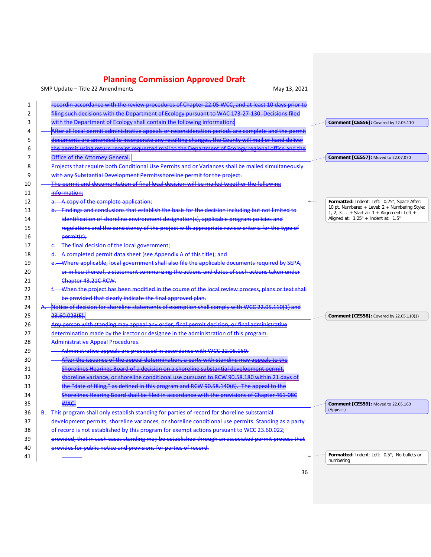|                | SMP Update - Title 22 Amendments<br>May 13, 2021                                                                                                                                                                                                                                                                |                                                                                                                                                                                           |
|----------------|-----------------------------------------------------------------------------------------------------------------------------------------------------------------------------------------------------------------------------------------------------------------------------------------------------------------|-------------------------------------------------------------------------------------------------------------------------------------------------------------------------------------------|
| 1<br>2<br>3    | recordin accordance with the review procedures of Chapter 22.05 WCC. and at least 10 days prior to<br>filing such decisions with the Department of Ecology pursuant to WAC 173-27-130. Decisions filed<br>with the Department of Ecology shall contain the following information:                               | Comment [CES56]: Covered by 22.05.110                                                                                                                                                     |
| 4<br>5<br>6    | After all local permit administrative appeals or reconsideration periods are complete and the permit<br>documents are amended to incorporate any resulting changes, the County will mail or hand deliver<br>the permit using return receipt requested mail to the Department of Ecology regional office and the |                                                                                                                                                                                           |
| 7              | Office of the Attorney General.                                                                                                                                                                                                                                                                                 | Comment [CES57]: Moved to 22.07.070                                                                                                                                                       |
| 8              | Projects that require both Conditional Use Permits and or Variances shall be mailed simultaneously                                                                                                                                                                                                              |                                                                                                                                                                                           |
| 9              | with any Substantial Development Permitsshoreline permit for the project.                                                                                                                                                                                                                                       |                                                                                                                                                                                           |
| 10             | The permit and documentation of final local decision will be mailed together the following                                                                                                                                                                                                                      |                                                                                                                                                                                           |
| 11             | information:                                                                                                                                                                                                                                                                                                    |                                                                                                                                                                                           |
| 12<br>13<br>14 | A copy of the complete application;<br>Findings and conclusions that establish the basis for the decision including but not limited to<br>identification of shoreline environment designation(s), applicable program policies and                                                                               | Formatted: Indent: Left: 0.25", Space After:<br>10 pt, Numbered + Level: 2 + Numbering Style:<br>1, 2, 3,  + Start at: $1 +$ Alignment: Left +<br>Aligned at: $1.25"$ + Indent at: $1.5"$ |
| 15<br>16<br>17 | regulations and the consistency of the project with appropriate review criteria for the type of<br>permit(s);<br>The final decision of the local government;                                                                                                                                                    |                                                                                                                                                                                           |
| 18             | completed permit data sheet (see Appendix A of this title); and                                                                                                                                                                                                                                                 |                                                                                                                                                                                           |
| 19             | Where applicable, local government shall also file the applicable documents required by SEPA.                                                                                                                                                                                                                   |                                                                                                                                                                                           |
| 20             | or in lieu thereof, a statement summarizing the actions and dates of such actions taken under                                                                                                                                                                                                                   |                                                                                                                                                                                           |
| 21             | Chapter 43.21C RCW-<br>When the project has been modified in the course of the local review process, plans or text shall                                                                                                                                                                                        |                                                                                                                                                                                           |
| 22<br>23       | be provided that clearly indicate the final approved plan.                                                                                                                                                                                                                                                      |                                                                                                                                                                                           |
| 24             | Notice of decision for shoreline statements of exemption shall comply with WCC 22.05.110(1) and                                                                                                                                                                                                                 |                                                                                                                                                                                           |
| 25             | 23.60.023(E).                                                                                                                                                                                                                                                                                                   | Comment [CES58]: Covered by 22.05.110(1)                                                                                                                                                  |
| 26             | Any person with standing may appeal any order, final permit decision, or final administrative                                                                                                                                                                                                                   |                                                                                                                                                                                           |
| 27             | determination made by the irector or designee in the administration of this program.                                                                                                                                                                                                                            |                                                                                                                                                                                           |
| 28             | Administrative Appeal Procedures.                                                                                                                                                                                                                                                                               |                                                                                                                                                                                           |
| 29             | Administrative appeals are processed in accordance with WCC 22.05.160.                                                                                                                                                                                                                                          |                                                                                                                                                                                           |
| 30             | After the issuance of the appeal determination, a party with standing may appeals to the                                                                                                                                                                                                                        |                                                                                                                                                                                           |
| 31             | Shorelines Hearings Board of a decision on a shoreline substantial development permit,                                                                                                                                                                                                                          |                                                                                                                                                                                           |
| 32             | shoreline variance, or shoreline conditional use pursuant to RCW 90.58.180 within 21 days of                                                                                                                                                                                                                    |                                                                                                                                                                                           |
| 33             | the "date of filing," as defined in this program and RCW 90.58.140(6). The appeal to the                                                                                                                                                                                                                        |                                                                                                                                                                                           |
| 34             | Shorelines Hearing Board shall be filed in accordance with the provisions of Chapter 461 08C                                                                                                                                                                                                                    |                                                                                                                                                                                           |
| 35             | WAC.                                                                                                                                                                                                                                                                                                            | Comment [CES59]: Moved to 22.05.160                                                                                                                                                       |
| 36             | This program shall only establish standing for parties of record for shoreline substantial<br>₽−                                                                                                                                                                                                                | (Appeals)                                                                                                                                                                                 |
| 37             | development permits, shoreline variances, or shoreline conditional use permits. Standing as a party                                                                                                                                                                                                             |                                                                                                                                                                                           |
| 38             | of record is not established by this program for exempt actions pursuant to WCC 23.60.022;                                                                                                                                                                                                                      |                                                                                                                                                                                           |
| 39             | provided, that in such cases standing may be established through an associated permit process that                                                                                                                                                                                                              |                                                                                                                                                                                           |
| 40             | provides for public notice and provisions for parties of record.                                                                                                                                                                                                                                                |                                                                                                                                                                                           |
| 41             |                                                                                                                                                                                                                                                                                                                 | Formatted: Indent: Left: 0.5", No bullets or<br>numbering                                                                                                                                 |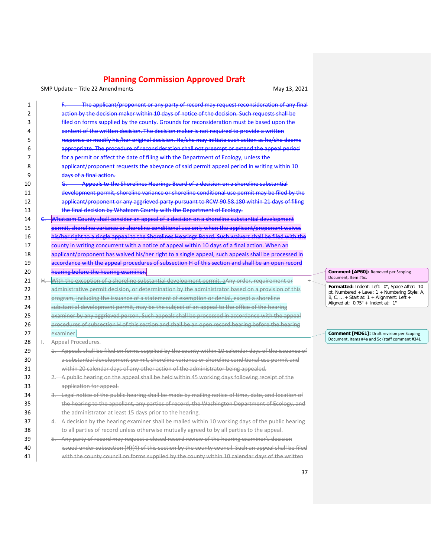SMP Update – Title 22 Amendments May 13, 2021

| 1              | The applicant/proponent or any party of record may request reconsideration of any final                 |
|----------------|---------------------------------------------------------------------------------------------------------|
| $\overline{2}$ | action by the decision maker within 10 days of notice of the decision. Such requests shall be           |
| 3              | filed on forms supplied by the county. Grounds for reconsideration must be based upon the               |
| 4              | content of the written decision. The decision maker is not required to provide a written                |
| 5              | response or modify his/her original decision. He/she may initiate such action as he/she deems           |
| 6              | appropriate. The procedure of reconsideration shall not preempt or extend the appeal period             |
| 7              | for a permit or affect the date of filing with the Department of Ecology, unless the                    |
| 8              | applicant/proponent requests the abeyance of said permit appeal period in writing within 10             |
| 9              | days of a final action.                                                                                 |
| 10             | Appeals to the Shorelines Hearings Board of a decision on a shoreline substantial                       |
| 11             | development permit, shoreline variance or shoreline conditional use permit may be filed by the          |
| 12             | applicant/proponent or any aggrieved party pursuant to RCW 90.58.180 within 21 days of filing           |
| 13             | the final decision by Whatcom County with the Department of Ecology.                                    |
| 14             | C. Whatcom County shall consider an appeal of a decision on a shoreline substantial development         |
| 15             | permit, shoreline variance or shoreline conditional use only when the applicant/proponent waives        |
| 16             | his/her right to a single appeal to the Shorelines Hearings Board. Such waivers shall be filed with the |
| 17             | county in writing concurrent with a notice of appeal within 10 days of a final action. When an          |
| 18             | applicant/proponent has waived his/her right to a single appeal, such appeals shall be processed in     |
| 19             | accordance with the appeal procedures of subsection H of this section and shall be an open record       |
| 20             | hearing before the hearing examiner.                                                                    |
| 21             | H. With the exception of a shoreline substantial development permit, a Any order, requirement or        |
| 22             | administrative permit decision, or determination by the administrator based on a provision of this      |
| 23             | program, including the issuance of a statement of exemption or denial, except a shoreline               |
| 24             | substantial development permit, may be the subject of an appeal to the office of the hearing            |
| 25             | examiner by any aggrieved person. Such appeals shall be processed in accordance with the appeal         |
| 26             | procedures of subsection H of this section and shall be an open record hearing before the hearing       |
| 27             | examiner.                                                                                               |
| 28             | I. Appeal Procedures.                                                                                   |
| 29             | 1. Appeals shall be filed on forms supplied by the county within 10 calendar days of the issuance of    |
| 30             | a substantial development permit, shoreline variance or shoreline conditional use permit and            |
| 31             | within 20 calendar days of any other action of the administrator being appealed.                        |
| 32             | 2. A public hearing on the appeal shall be held within 45 working days following receipt of the         |
| 33             | application for appeal.                                                                                 |
| 34             | 3. Legal notice of the public hearing shall be made by mailing notice of time, date, and location of    |
| 35             | the hearing to the appellant, any parties of record, the Washington Department of Ecology, and          |
| 36             | the administrator at least 15 days prior to the hearing.                                                |
| 37             | 4. A decision by the hearing examiner shall be mailed within 10 working days of the public hearing      |
| 38             | to all parties of record unless otherwise mutually agreed to by all parties to the appeal.              |
| 39             | 5. Any party of record may request a closed record review of the hearing examiner's decision            |
| 40             | issued under subsection (H)(4) of this section by the county council. Such an appeal shall be filed     |
| 41             | with the county council on forms supplied by the county within 10 calendar days of the written          |

### **Comment [AP60]:** Removed per Scoping Document, Item #5c.

**Formatted:** Indent: Left: 0", Space After: 10<br>pt, Numbered + Level: 1 + Numbering Style: A,<br>B, C, … + Start at: 1 + Alignment: Left +<br>Aligned at: 0.75" + Indent at: 1"

**Comment [MD61]:** Draft revision per Scoping Document, Items #4a and 5c (staff comment #34).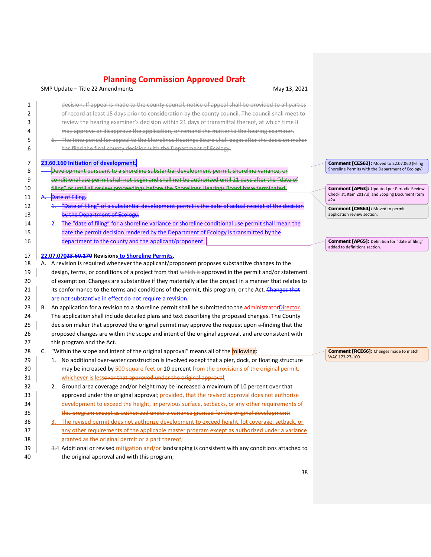| 1              | decision. If appeal is made to the county council, notice of appeal shall be provided to all parties    |                                                           |
|----------------|---------------------------------------------------------------------------------------------------------|-----------------------------------------------------------|
| 2              | of record at least 15 days prior to consideration by the county council. The council shall meet to      |                                                           |
| 3              | review the hearing examiner's decision within 21 days of transmittal thereof, at which time it          |                                                           |
| 4              | may approve or disapprove the application, or remand the matter to the hearing examiner.                |                                                           |
| 5              | The time period for appeal to the Shorelines Hearings Board shall begin after the decision maker        |                                                           |
| 6              | has filed the final county decision with the Department of Ecology.                                     |                                                           |
| $\overline{7}$ | 23.60.160 Initiation of development.                                                                    | Comment [CES62]: Moved to 22.07.060 (Filing               |
| 8              | Development pursuant to a shoreline substantial development permit, shoreline variance, or              | Shoreline Permits with the Department of Ecology)         |
| 9              | conditional use permit shall not begin and shall not be authorized until 21 days after the "date of     |                                                           |
| 10             | filing" or until all review proceedings before the Shorelines Hearings Board have terminated.           | Comment [AP63]: Updated per Periodic Review               |
| 11             | Date of Filing.                                                                                         | Checklist, Item 2017.d, and Scoping Document Item<br>#2a. |
| 12             | 1. "Date of filing" of a substantial development permit is the date of actual receipt of the decision   | Comment [CES64]: Moved to permit                          |
| 13             | by the Department of Ecology.                                                                           | application review section.                               |
| 14             | 2. The "date of filing" for a shoreline variance or shoreline conditional use permit shall mean the     |                                                           |
| 15             | date the permit decision rendered by the Department of Ecology is transmitted by the                    |                                                           |
| 16             | department to the county and the applicant/proponent.                                                   | Comment [AP65]: Definition for "date of filing"           |
|                |                                                                                                         | added to definitions section.                             |
| 17             | 22.07.07023.60.170 Revisions to Shoreline Permits.                                                      |                                                           |
| 18             | A. A revision is required whenever the applicant/proponent proposes substantive changes to the          |                                                           |
| 19             | design, terms, or conditions of a project from that which is approved in the permit and/or statement    |                                                           |
| 20             | of exemption. Changes are substantive if they materially alter the project in a manner that relates to  |                                                           |
| 21             | its conformance to the terms and conditions of the permit, this program, or the Act. Changes that       |                                                           |
| 22             | are not substantive in effect do not require a revision.                                                |                                                           |
| 23             | B. An application for a revision to a shoreline permit shall be submitted to the administratorDirector. |                                                           |
| 24             | The application shall include detailed plans and text describing the proposed changes. The County       |                                                           |
| 25             | decision maker that approved the original permit may approve the request upon a-finding that the        |                                                           |
| 26             | proposed changes are within the scope and intent of the original approval, and are consistent with      |                                                           |
| 27             | this program and the Act.                                                                               |                                                           |
| 28             | "Within the scope and intent of the original approval" means all of the <b>following</b> :<br>C.        | Comment [RCE66]: Changes made to match<br>WAC 173-27-100  |
| 29             | 1. No additional over-water construction is involved except that a pier, dock, or floating structure    |                                                           |
| 30             | may be increased by 500 square feet or 10 percent from the provisions of the original permit,           |                                                           |
| 31             | whichever is lessover that approved under the original approval;                                        |                                                           |
| 32             | 2. Ground area coverage and/or height may be increased a maximum of 10 percent over that                |                                                           |
| 33             | approved under the original approval; provided, that the revised approval does not authorize            |                                                           |
| 34             | development to exceed the height, impervious surface, setbacks, or any other requirements of            |                                                           |
| 35             | this program except as authorized under a variance granted for the original development;                |                                                           |
| 36             | 3. The revised permit does not authorize development to exceed height, lot coverage, setback, or        |                                                           |
| 37             | any other requirements of the applicable master program except as authorized under a variance           |                                                           |
| 38             | granted as the original permit or a part thereof;                                                       |                                                           |
| 39             | 3.4. Additional or revised mitigation and/or landscaping is consistent with any conditions attached to  |                                                           |
| 40             | the original approval and with this program;                                                            |                                                           |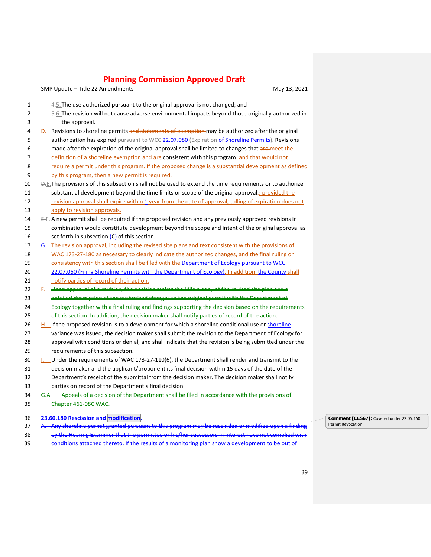SMP Update – Title 22 Amendments May 13, 2021

| 1  | 4.5. The use authorized pursuant to the original approval is not changed; and                            |
|----|----------------------------------------------------------------------------------------------------------|
| 2  | 5.6. The revision will not cause adverse environmental impacts beyond those originally authorized in     |
| 3  | the approval.                                                                                            |
| 4  | D. Revisions to shoreline permits and statements of exemption may be authorized after the original       |
| 5  | authorization has expired pursuant to WCC 22.07.080 (Expiration of Shoreline Permits). Revisions         |
| 6  | made after the expiration of the original approval shall be limited to changes that are-meet the         |
| 7  | definition of a shoreline exemption and are consistent with this program. and that would not             |
| 8  | require a permit under this program. If the proposed change is a substantial development as defined      |
| 9  | by this program, then a new permit is required.                                                          |
| 10 | D.E. The provisions of this subsection shall not be used to extend the time requirements or to authorize |
| 11 | substantial development beyond the time limits or scope of the original approval-; provided the          |
| 12 | revision approval shall expire within 1 year from the date of approval, tolling of expiration does not   |
| 13 | apply to revision approvals.                                                                             |
| 14 | $E-F$ . A new permit shall be required if the proposed revision and any previously approved revisions in |
| 15 | combination would constitute development beyond the scope and intent of the original approval as         |
| 16 | set forth in subsection (C) of this section.                                                             |
| 17 | G. The revision approval, including the revised site plans and text consistent with the provisions of    |
| 18 | WAC 173-27-180 as necessary to clearly indicate the authorized changes, and the final ruling on          |
| 19 | consistency with this section shall be filed with the Department of Ecology pursuant to WCC              |
| 20 | 22.07.060 (Filing Shoreline Permits with the Department of Ecology). In addition, the County shall       |
| 21 | notify parties of record of their action.                                                                |
| 22 | Upon approval of a revision, the decision maker shall file a copy of the revised site plan and a         |
| 23 | detailed description of the authorized changes to the original permit with the Department of             |
| 24 | Ecology together with a final ruling and findings supporting the decision based on the requirements      |
| 25 | of this section. In addition, the decision maker shall notify parties of record of the action.           |
| 26 | $H$ . If the proposed revision is to a development for which a shoreline conditional use or shoreline    |
| 27 | variance was issued, the decision maker shall submit the revision to the Department of Ecology for       |
| 28 | approval with conditions or denial, and shall indicate that the revision is being submitted under the    |
| 29 | requirements of this subsection.                                                                         |
| 30 | Under the requirements of WAC 173-27-110(6), the Department shall render and transmit to the             |
| 31 | decision maker and the applicant/proponent its final decision within 15 days of the date of the          |
| 32 | Department's receipt of the submittal from the decision maker. The decision maker shall notify           |
| 33 | parties on record of the Department's final decision.                                                    |
| 34 | 6.A. Appeals of a decision of the Department shall be filed in accordance with the provisi               |
| 35 | Chapter 461-08C WAC.                                                                                     |
|    | 23.60.180 Rescission and modificatio                                                                     |
| 36 |                                                                                                          |
| 37 | Any shoreline permit granted pursuant to this program may be rescinded or modified upon a find           |
| 38 | by the Hearing Examiner that the permittee or his/her successors in interest have not complied with      |

39 conditions attached thereto. If the results of a monitoring plan show a development to be out of

**Comment [CES67]:** Covered under 22.05.150 Permit Revocation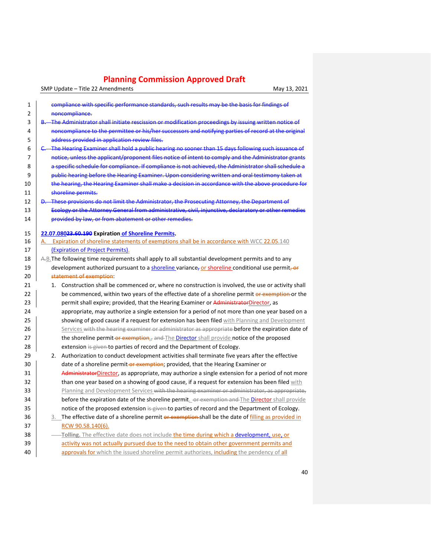| 1              | compliance with specific performance standards, such results may be the basis for findings of           |
|----------------|---------------------------------------------------------------------------------------------------------|
| $\overline{2}$ | noncompliance.                                                                                          |
| 3              | B. The Administrator shall initiate rescission or modification proceedings by issuing written notice of |
| 4              | noncompliance to the permittee or his/her successors and notifying parties of record at the original    |
| 5              | address provided in application review files.                                                           |
| 6              | C. The Hearing Examiner shall hold a public hearing no sooner than 15 days following such issuance of   |
| 7              | notice, unless the applicant/proponent files notice of intent to comply and the Administrator grants    |
| 8              | a specific schedule for compliance. If compliance is not achieved, the Administrator shall schedule a   |
| 9              | public hearing before the Hearing Examiner. Upon considering written and oral testimony taken at        |
| 10             | the hearing, the Hearing Examiner shall make a decision in accordance with the above procedure for      |
| 11             | shoreline permits.                                                                                      |
| 12             | D. These provisions do not limit the Administrator, the Prosecuting Attorney, the Department of         |
| 13             | Ecology or the Attorney General from administrative, civil, injunctive, declaratory or other remedies   |
| 14             | provided by law, or from abatement or other remedies.                                                   |
| 15             | 22.07.08023.60.190 Expiration of Shoreline Permits.                                                     |
| 16             | Expiration of shoreline statements of exemptions shall be in accordance with WCC 22.05.140              |
| 17             | (Expiration of Project Permits).                                                                        |
| 18             | A-B. The following time requirements shall apply to all substantial development permits and to any      |
| 19             | development authorized pursuant to a shoreline variance, or shoreline conditional use permit, or        |
| 20             | statement of exemption:                                                                                 |
| 21             | 1. Construction shall be commenced or, where no construction is involved, the use or activity shall     |
| 22             | be commenced, within two years of the effective date of a shoreline permit or exemption or the          |
| 23             | permit shall expire; provided, that the Hearing Examiner or AdministratorDirector, as                   |
| 24             | appropriate, may authorize a single extension for a period of not more than one year based on a         |
| 25             | showing of good cause if a request for extension has been filed with Planning and Development           |
| 26             | Services with the hearing examiner or administrator as appropriate before the expiration date of        |
| 27             | the shoreline permit-or exemption., and The Director shall provide notice of the proposed               |
| 28             | extension is given to parties of record and the Department of Ecology.                                  |
| 29             | 2. Authorization to conduct development activities shall terminate five years after the effective       |
| 30             | date of a shoreline permit-or exemption; provided, that the Hearing Examiner or                         |
| 31             | AdministratorDirector, as appropriate, may authorize a single extension for a period of not more        |
| 32             | than one year based on a showing of good cause, if a request for extension has been filed with          |
| 33             | Planning and Development Services with the hearing examiner or administrator, as appropriate,           |
| 34             | before the expiration date of the shoreline permit_or exemption and The Director shall provide          |
| 35             | notice of the proposed extension is given to parties of record and the Department of Ecology.           |
| 36             | 3. The effective date of a shoreline permit or exemption-shall be the date of filling as provided in    |
| 37             | RCW 90.58.140(6).                                                                                       |
| 38             | -Tolling. The effective date does not include the time during which a development, use, or              |
| 39             | activity was not actually pursued due to the need to obtain other government permits and                |
| 40             | approvals for which the issued shoreline permit authorizes, including the pendency of all               |